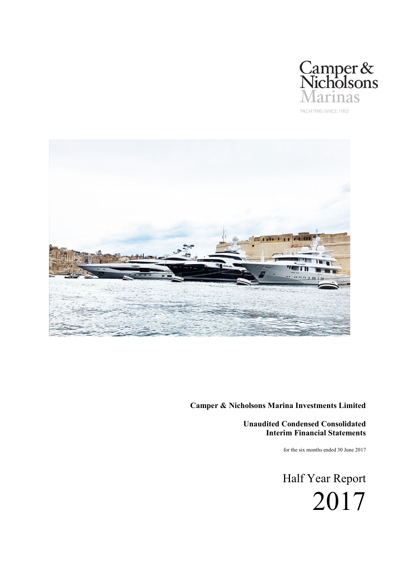



Unaudited Condensed Consolidated Interim Financial Statements

for the six months ended 30 June 2017

Half Year Report 2017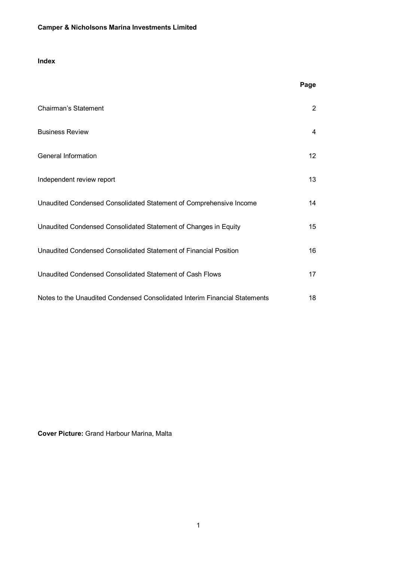# Index

|                                                                            | Page             |
|----------------------------------------------------------------------------|------------------|
| <b>Chairman's Statement</b>                                                | 2                |
| <b>Business Review</b>                                                     | 4                |
| <b>General Information</b>                                                 | 12 <sup>2</sup>  |
| Independent review report                                                  | 13               |
| Unaudited Condensed Consolidated Statement of Comprehensive Income         | 14               |
| Unaudited Condensed Consolidated Statement of Changes in Equity            | 15 <sup>15</sup> |
| Unaudited Condensed Consolidated Statement of Financial Position           | 16               |
| Unaudited Condensed Consolidated Statement of Cash Flows                   | 17               |
| Notes to the Unaudited Condensed Consolidated Interim Financial Statements | 18               |

Cover Picture: Grand Harbour Marina, Malta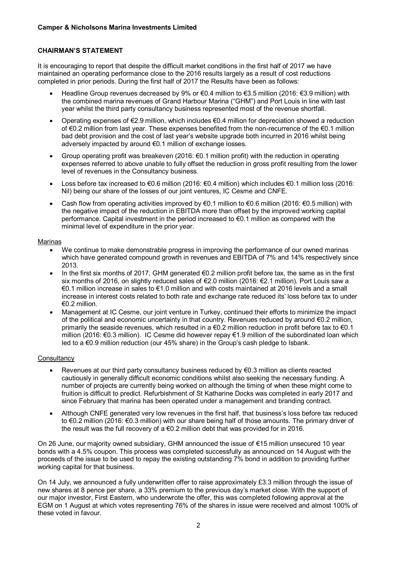# CHAIRMAN'S STATEMENT

It is encouraging to report that despite the difficult market conditions in the first half of 2017 we have maintained an operating performance close to the 2016 results largely as a result of cost reductions completed in prior periods. During the first half of 2017 the Results have been as follows:

- Headline Group revenues decreased by 9% or €0.4 million to €3.5 million (2016: €3.9 million) with the combined marina revenues of Grand Harbour Marina ("GHM") and Port Louis in line with last year whilst the third party consultancy business represented most of the revenue shortfall.
- Operating expenses of €2.9 million, which includes €0.4 million for depreciation showed a reduction of €0.2 million from last year. These expenses benefited from the non-recurrence of the €0.1 million bad debt provision and the cost of last year's website upgrade both incurred in 2016 whilst being adversely impacted by around €0.1 million of exchange losses.
- Group operating profit was breakeven (2016: €0.1 million profit) with the reduction in operating expenses referred to above unable to fully offset the reduction in gross profit resulting from the lower level of revenues in the Consultancy business.
- Loss before tax increased to €0.6 million (2016: €0.4 million) which includes €0.1 million loss (2016: Nil) being our share of the losses of our joint ventures, IC Cesme and CNFE.
- Cash flow from operating activities improved by €0.1 million to €0.6 million (2016: €0.5 million) with the negative impact of the reduction in EBITDA more than offset by the improved working capital performance. Capital investment in the period increased to €0.1 million as compared with the minimal level of expenditure in the prior year.

## Marinas

- We continue to make demonstrable progress in improving the performance of our owned marinas which have generated compound growth in revenues and EBITDA of 7% and 14% respectively since 2013.
- In the first six months of 2017, GHM generated  $\epsilon$ 0.2 million profit before tax, the same as in the first six months of 2016, on slightly reduced sales of €2.0 million (2016: €2.1 million). Port Louis saw a €0.1 million increase in sales to €1.0 million and with costs maintained at 2016 levels and a small increase in interest costs related to both rate and exchange rate reduced its' loss before tax to under €0.2 million.
- Management at IC Cesme, our joint venture in Turkey, continued their efforts to minimize the impact of the political and economic uncertainty in that country. Revenues reduced by around €0.2 million, primarily the seaside revenues, which resulted in a €0.2 million reduction in profit before tax to €0.1 million (2016: €0.3 million). IC Cesme did however repay €1.9 million of the subordinated loan which led to a €0.9 million reduction (our 45% share) in the Group's cash pledge to Isbank.

## **Consultancy**

- Revenues at our third party consultancy business reduced by €0.3 million as clients reacted cautiously in generally difficult economic conditions whilst also seeking the necessary funding. A number of projects are currently being worked on although the timing of when these might come to fruition is difficult to predict. Refurbishment of St Katharine Docks was completed in early 2017 and since February that marina has been operated under a management and branding contract.
- Although CNFE generated very low revenues in the first half, that business's loss before tax reduced to €0.2 million (2016: €0.3 million) with our share being half of those amounts. The primary driver of the result was the full recovery of a €0.2 million debt that was provided for in 2016.

On 26 June, our majority owned subsidiary, GHM announced the issue of €15 million unsecured 10 year bonds with a 4.5% coupon. This process was completed successfully as announced on 14 August with the proceeds of the issue to be used to repay the existing outstanding 7% bond in addition to providing further working capital for that business.

On 14 July, we announced a fully underwritten offer to raise approximately £3.3 million through the issue of new shares at 8 pence per share, a 33% premium to the previous day's market close. With the support of our major investor, First Eastern, who underwrote the offer, this was completed following approval at the EGM on 1 August at which votes representing 76% of the shares in issue were received and almost 100% of these voted in favour.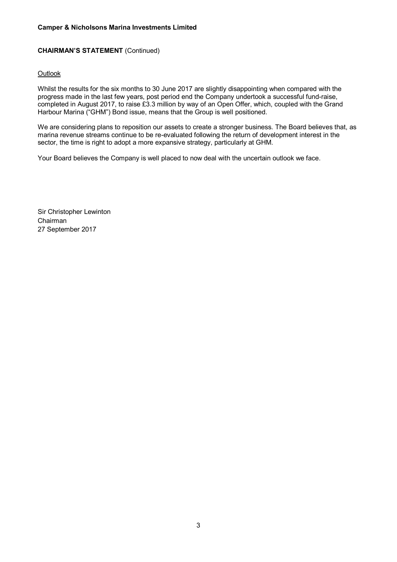# CHAIRMAN'S STATEMENT (Continued)

## **Outlook**

Whilst the results for the six months to 30 June 2017 are slightly disappointing when compared with the progress made in the last few years, post period end the Company undertook a successful fund-raise, completed in August 2017, to raise £3.3 million by way of an Open Offer, which, coupled with the Grand Harbour Marina ("GHM") Bond issue, means that the Group is well positioned.

We are considering plans to reposition our assets to create a stronger business. The Board believes that, as marina revenue streams continue to be re-evaluated following the return of development interest in the sector, the time is right to adopt a more expansive strategy, particularly at GHM.

Your Board believes the Company is well placed to now deal with the uncertain outlook we face.

Sir Christopher Lewinton Chairman 27 September 2017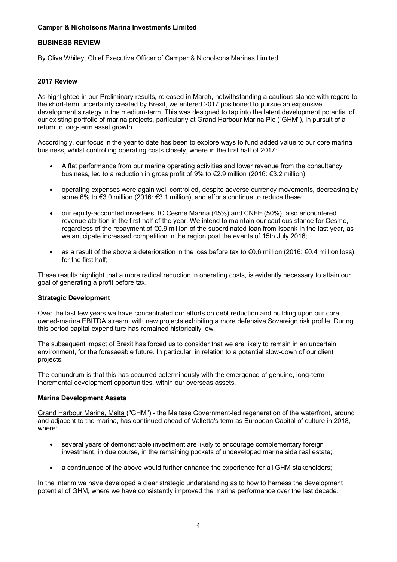## BUSINESS REVIEW

By Clive Whiley, Chief Executive Officer of Camper & Nicholsons Marinas Limited

## 2017 Review

As highlighted in our Preliminary results, released in March, notwithstanding a cautious stance with regard to the short-term uncertainty created by Brexit, we entered 2017 positioned to pursue an expansive development strategy in the medium-term. This was designed to tap into the latent development potential of our existing portfolio of marina projects, particularly at Grand Harbour Marina Plc ("GHM"), in pursuit of a return to long-term asset growth.

Accordingly, our focus in the year to date has been to explore ways to fund added value to our core marina business, whilst controlling operating costs closely, where in the first half of 2017:

- A flat performance from our marina operating activities and lower revenue from the consultancy business, led to a reduction in gross profit of 9% to €2.9 million (2016: €3.2 million);
- operating expenses were again well controlled, despite adverse currency movements, decreasing by some 6% to €3.0 million (2016: €3.1 million), and efforts continue to reduce these;
- our equity-accounted investees, IC Cesme Marina (45%) and CNFE (50%), also encountered revenue attrition in the first half of the year. We intend to maintain our cautious stance for Cesme, regardless of the repayment of €0.9 million of the subordinated loan from Isbank in the last year, as we anticipate increased competition in the region post the events of 15th July 2016;
- as a result of the above a deterioration in the loss before tax to €0.6 million (2016: €0.4 million loss) for the first half;

These results highlight that a more radical reduction in operating costs, is evidently necessary to attain our goal of generating a profit before tax.

## Strategic Development

Over the last few years we have concentrated our efforts on debt reduction and building upon our core owned-marina EBITDA stream, with new projects exhibiting a more defensive Sovereign risk profile. During this period capital expenditure has remained historically low.

The subsequent impact of Brexit has forced us to consider that we are likely to remain in an uncertain environment, for the foreseeable future. In particular, in relation to a potential slow-down of our client projects.

The conundrum is that this has occurred coterminously with the emergence of genuine, long-term incremental development opportunities, within our overseas assets.

## Marina Development Assets

Grand Harbour Marina, Malta ("GHM") - the Maltese Government-led regeneration of the waterfront, around and adjacent to the marina, has continued ahead of Valletta's term as European Capital of culture in 2018, where:

- several years of demonstrable investment are likely to encourage complementary foreign investment, in due course, in the remaining pockets of undeveloped marina side real estate;
- a continuance of the above would further enhance the experience for all GHM stakeholders;

In the interim we have developed a clear strategic understanding as to how to harness the development potential of GHM, where we have consistently improved the marina performance over the last decade.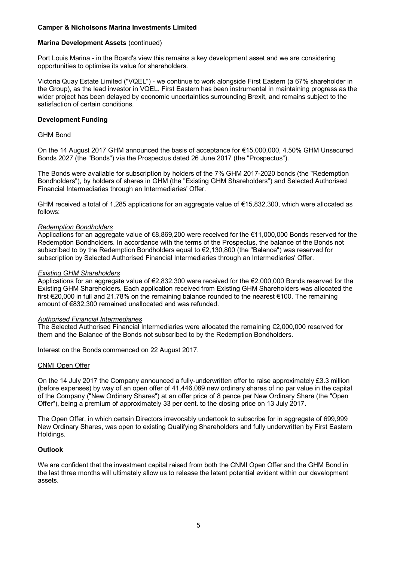### Marina Development Assets (continued)

Port Louis Marina - in the Board's view this remains a key development asset and we are considering opportunities to optimise its value for shareholders.

Victoria Quay Estate Limited ("VQEL") - we continue to work alongside First Eastern (a 67% shareholder in the Group), as the lead investor in VQEL. First Eastern has been instrumental in maintaining progress as the wider project has been delayed by economic uncertainties surrounding Brexit, and remains subject to the satisfaction of certain conditions.

### Development Funding

#### GHM Bond

On the 14 August 2017 GHM announced the basis of acceptance for €15,000,000, 4.50% GHM Unsecured Bonds 2027 (the "Bonds") via the Prospectus dated 26 June 2017 (the "Prospectus").

The Bonds were available for subscription by holders of the 7% GHM 2017-2020 bonds (the "Redemption Bondholders"), by holders of shares in GHM (the "Existing GHM Shareholders") and Selected Authorised Financial Intermediaries through an Intermediaries' Offer.

GHM received a total of 1,285 applications for an aggregate value of €15,832,300, which were allocated as follows:

### Redemption Bondholders

Applications for an aggregate value of €8,869,200 were received for the €11,000,000 Bonds reserved for the Redemption Bondholders. In accordance with the terms of the Prospectus, the balance of the Bonds not subscribed to by the Redemption Bondholders equal to €2,130,800 (the "Balance") was reserved for subscription by Selected Authorised Financial Intermediaries through an Intermediaries' Offer.

#### Existing GHM Shareholders

Applications for an aggregate value of €2,832,300 were received for the €2,000,000 Bonds reserved for the Existing GHM Shareholders. Each application received from Existing GHM Shareholders was allocated the first €20,000 in full and 21.78% on the remaining balance rounded to the nearest €100. The remaining amount of €832,300 remained unallocated and was refunded.

#### Authorised Financial Intermediaries

The Selected Authorised Financial Intermediaries were allocated the remaining €2,000,000 reserved for them and the Balance of the Bonds not subscribed to by the Redemption Bondholders.

Interest on the Bonds commenced on 22 August 2017.

#### CNMI Open Offer

On the 14 July 2017 the Company announced a fully-underwritten offer to raise approximately £3.3 million (before expenses) by way of an open offer of 41,446,089 new ordinary shares of no par value in the capital of the Company ("New Ordinary Shares") at an offer price of 8 pence per New Ordinary Share (the "Open Offer"), being a premium of approximately 33 per cent. to the closing price on 13 July 2017.

The Open Offer, in which certain Directors irrevocably undertook to subscribe for in aggregate of 699,999 New Ordinary Shares, was open to existing Qualifying Shareholders and fully underwritten by First Eastern Holdings.

## Outlook

We are confident that the investment capital raised from both the CNMI Open Offer and the GHM Bond in the last three months will ultimately allow us to release the latent potential evident within our development assets.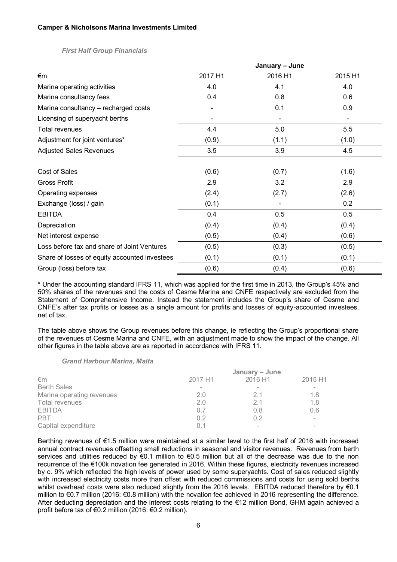First Half Group Financials

|                                               |         | January - June |         |
|-----------------------------------------------|---------|----------------|---------|
| €m                                            | 2017 H1 | 2016 H1        | 2015 H1 |
| Marina operating activities                   | 4.0     | 4.1            | 4.0     |
| Marina consultancy fees                       | 0.4     | 0.8            | 0.6     |
| Marina consultancy - recharged costs          |         | 0.1            | 0.9     |
| Licensing of superyacht berths                |         |                |         |
| Total revenues                                | 4.4     | 5.0            | 5.5     |
| Adjustment for joint ventures*                | (0.9)   | (1.1)          | (1.0)   |
| <b>Adjusted Sales Revenues</b>                | 3.5     | 3.9            | 4.5     |
| Cost of Sales                                 | (0.6)   | (0.7)          | (1.6)   |
| <b>Gross Profit</b>                           | 2.9     | 3.2            | 2.9     |
| Operating expenses                            | (2.4)   | (2.7)          | (2.6)   |
| Exchange (loss) / gain                        | (0.1)   |                | 0.2     |
| <b>EBITDA</b>                                 | 0.4     | 0.5            | 0.5     |
| Depreciation                                  | (0.4)   | (0.4)          | (0.4)   |
| Net interest expense                          | (0.5)   | (0.4)          | (0.6)   |
| Loss before tax and share of Joint Ventures   | (0.5)   | (0.3)          | (0.5)   |
| Share of losses of equity accounted investees | (0.1)   | (0.1)          | (0.1)   |
| Group (loss) before tax                       | (0.6)   | (0.4)          | (0.6)   |

\* Under the accounting standard IFRS 11, which was applied for the first time in 2013, the Group's 45% and 50% shares of the revenues and the costs of Cesme Marina and CNFE respectively are excluded from the Statement of Comprehensive Income. Instead the statement includes the Group's share of Cesme and CNFE's after tax profits or losses as a single amount for profits and losses of equity-accounted investees, net of tax.

The table above shows the Group revenues before this change, ie reflecting the Group's proportional share of the revenues of Cesme Marina and CNFE, with an adjustment made to show the impact of the change. All other figures in the table above are as reported in accordance with IFRS 11.

#### Grand Harbour Marina, Malta

|                           | January - June           |                          |         |  |
|---------------------------|--------------------------|--------------------------|---------|--|
| €m                        | 2017 H1                  | 2016 H1                  | 2015 H1 |  |
| <b>Berth Sales</b>        | $\overline{\phantom{a}}$ |                          |         |  |
| Marina operating revenues | 2.0                      | 21                       | 1.8     |  |
| Total revenues            | 2.0                      | 21                       | 1.8     |  |
| <b>EBITDA</b>             | 0.7                      | 0.8                      | 0.6     |  |
| <b>PBT</b>                | 0.2                      | 02                       |         |  |
| Capital expenditure       | N 1                      | $\overline{\phantom{a}}$ |         |  |

Berthing revenues of €1.5 million were maintained at a similar level to the first half of 2016 with increased annual contract revenues offsetting small reductions in seasonal and visitor revenues. Revenues from berth services and utilities reduced by €0.1 million to €0.5 million but all of the decrease was due to the non recurrence of the €100k novation fee generated in 2016. Within these figures, electricity revenues increased by c. 9% which reflected the high levels of power used by some superyachts. Cost of sales reduced slightly with increased electricity costs more than offset with reduced commissions and costs for using sold berths whilst overhead costs were also reduced slightly from the 2016 levels. EBITDA reduced therefore by €0.1 million to €0.7 million (2016: €0.8 million) with the novation fee achieved in 2016 representing the difference. After deducting depreciation and the interest costs relating to the €12 million Bond, GHM again achieved a profit before tax of €0.2 million (2016: €0.2 million).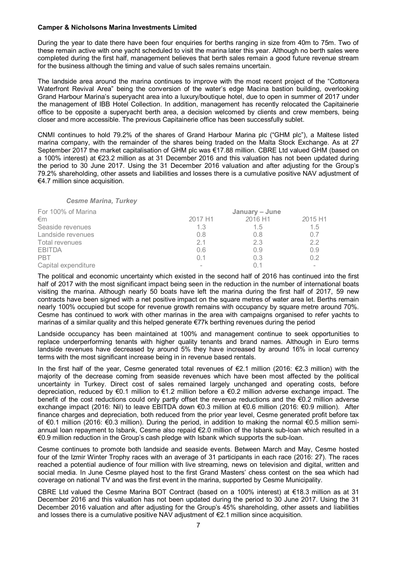During the year to date there have been four enquiries for berths ranging in size from 40m to 75m. Two of these remain active with one yacht scheduled to visit the marina later this year. Although no berth sales were completed during the first half, management believes that berth sales remain a good future revenue stream for the business although the timing and value of such sales remains uncertain.

The landside area around the marina continues to improve with the most recent project of the "Cottonera Waterfront Revival Area" being the conversion of the water's edge Macina bastion building, overlooking Grand Harbour Marina's superyacht area into a luxury/boutique hotel, due to open in summer of 2017 under the management of IBB Hotel Collection. In addition, management has recently relocated the Capitainerie office to be opposite a superyacht berth area, a decision welcomed by clients and crew members, being closer and more accessible. The previous Capitainerie office has been successfully sublet.

CNMI continues to hold 79.2% of the shares of Grand Harbour Marina plc ("GHM plc"), a Maltese listed marina company, with the remainder of the shares being traded on the Malta Stock Exchange. As at 27 September 2017 the market capitalisation of GHM plc was €17.88 million. CBRE Ltd valued GHM (based on a 100% interest) at €23.2 million as at 31 December 2016 and this valuation has not been updated during the period to 30 June 2017. Using the 31 December 2016 valuation and after adjusting for the Group's 79.2% shareholding, other assets and liabilities and losses there is a cumulative positive NAV adjustment of €4.7 million since acquisition.

Cesme Marina, Turkey

| For 100% of Marina    | January – June |         |         |
|-----------------------|----------------|---------|---------|
| €m                    | 2017 H1        | 2016 H1 | 2015 H1 |
| Seaside revenues      | 1.3            | 1.5     | 1.5     |
| Landside revenues     | 0.8            | 0.8     | 0 7     |
| <b>Total revenues</b> | 21             | 23      | 22      |
| <b>EBITDA</b>         | 0.6            | 0.9     | 0.9     |
| <b>PBT</b>            | 01             | 0.3     | 02      |
| Capital expenditure   |                | ∩ 1     |         |

The political and economic uncertainty which existed in the second half of 2016 has continued into the first half of 2017 with the most significant impact being seen in the reduction in the number of international boats visiting the marina. Although nearly 50 boats have left the marina during the first half of 2017, 59 new contracts have been signed with a net positive impact on the square metres of water area let. Berths remain nearly 100% occupied but scope for revenue growth remains with occupancy by square metre around 70%. Cesme has continued to work with other marinas in the area with campaigns organised to refer yachts to marinas of a similar quality and this helped generate €77k berthing revenues during the period

Landside occupancy has been maintained at 100% and management continue to seek opportunities to replace underperforming tenants with higher quality tenants and brand names. Although in Euro terms landside revenues have decreased by around 5% they have increased by around 16% in local currency terms with the most significant increase being in in revenue based rentals.

In the first half of the year, Cesme generated total revenues of €2.1 million (2016: €2.3 million) with the majority of the decrease coming from seaside revenues which have been most affected by the political uncertainty in Turkey. Direct cost of sales remained largely unchanged and operating costs, before depreciation, reduced by €0.1 million to €1.2 million before a €0.2 million adverse exchange impact. The benefit of the cost reductions could only partly offset the revenue reductions and the €0.2 million adverse exchange impact (2016: Nil) to leave EBITDA down €0.3 million at €0.6 million (2016: €0.9 million). After finance charges and depreciation, both reduced from the prior year level, Cesme generated profit before tax of €0.1 million (2016: €0.3 million). During the period, in addition to making the normal €0.5 million semiannual loan repayment to Isbank, Cesme also repaid €2.0 million of the Isbank sub-loan which resulted in a €0.9 million reduction in the Group's cash pledge with Isbank which supports the sub-loan.

Cesme continues to promote both landside and seaside events. Between March and May, Cesme hosted four of the Izmir Winter Trophy races with an average of 31 participants in each race (2016: 27). The races reached a potential audience of four million with live streaming, news on television and digital, written and social media. In June Cesme played host to the first Grand Masters' chess contest on the sea which had coverage on national TV and was the first event in the marina, supported by Cesme Municipality.

CBRE Ltd valued the Cesme Marina BOT Contract (based on a 100% interest) at €18.3 million as at 31 December 2016 and this valuation has not been updated during the period to 30 June 2017. Using the 31 December 2016 valuation and after adjusting for the Group's 45% shareholding, other assets and liabilities and losses there is a cumulative positive NAV adjustment of €2.1 million since acquisition.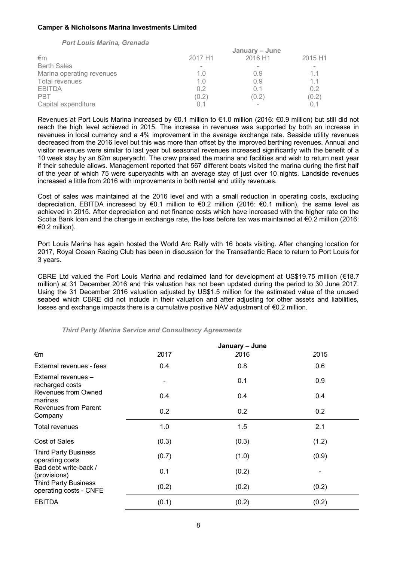Port Louis Marina, Grenada

|                           | January - June |         |         |  |
|---------------------------|----------------|---------|---------|--|
| €m                        | 2017 H1        | 2016 H1 | 2015 H1 |  |
| <b>Berth Sales</b>        | -              |         | -       |  |
| Marina operating revenues | 1 ()           | 0.9     | 1.1     |  |
| Total revenues            | 1.0            | 0.9     | 1.1     |  |
| <b>EBITDA</b>             | 0.2            | 0.1     | 0.2     |  |
| <b>PBT</b>                | (0.2)          | (0.2)   | (0.2)   |  |
| Capital expenditure       | ი 1            |         |         |  |

Revenues at Port Louis Marina increased by €0.1 million to €1.0 million (2016: €0.9 million) but still did not reach the high level achieved in 2015. The increase in revenues was supported by both an increase in revenues in local currency and a 4% improvement in the average exchange rate. Seaside utility revenues decreased from the 2016 level but this was more than offset by the improved berthing revenues. Annual and visitor revenues were similar to last year but seasonal revenues increased significantly with the benefit of a 10 week stay by an 82m superyacht. The crew praised the marina and facilities and wish to return next year if their schedule allows. Management reported that 567 different boats visited the marina during the first half of the year of which 75 were superyachts with an average stay of just over 10 nights. Landside revenues increased a little from 2016 with improvements in both rental and utility revenues.

Cost of sales was maintained at the 2016 level and with a small reduction in operating costs, excluding depreciation, EBITDA increased by €0.1 million to €0.2 million (2016: €0.1 million), the same level as achieved in 2015. After depreciation and net finance costs which have increased with the higher rate on the Scotia Bank loan and the change in exchange rate, the loss before tax was maintained at €0.2 million (2016: €0.2 million).

Port Louis Marina has again hosted the World Arc Rally with 16 boats visiting. After changing location for 2017, Royal Ocean Racing Club has been in discussion for the Transatlantic Race to return to Port Louis for 3 years.

CBRE Ltd valued the Port Louis Marina and reclaimed land for development at US\$19.75 million (€18.7 million) at 31 December 2016 and this valuation has not been updated during the period to 30 June 2017. Using the 31 December 2016 valuation adjusted by US\$1.5 million for the estimated value of the unused seabed which CBRE did not include in their valuation and after adjusting for other assets and liabilities, losses and exchange impacts there is a cumulative positive NAV adjustment of €0.2 million.

|                                                       |       | January - June |       |
|-------------------------------------------------------|-------|----------------|-------|
| €m                                                    | 2017  | 2016           | 2015  |
| External revenues - fees                              | 0.4   | 0.8            | 0.6   |
| External revenues -<br>recharged costs                |       | 0.1            | 0.9   |
| <b>Revenues from Owned</b><br>marinas                 | 0.4   | 0.4            | 0.4   |
| Revenues from Parent<br>Company                       | 0.2   | 0.2            | 0.2   |
| Total revenues                                        | 1.0   | 1.5            | 2.1   |
| Cost of Sales                                         | (0.3) | (0.3)          | (1.2) |
| <b>Third Party Business</b><br>operating costs        | (0.7) | (1.0)          | (0.9) |
| Bad debt write-back /<br>(provisions)                 | 0.1   | (0.2)          |       |
| <b>Third Party Business</b><br>operating costs - CNFE | (0.2) | (0.2)          | (0.2) |
| <b>EBITDA</b>                                         | (0.1) | (0.2)          | (0.2) |

Third Party Marina Service and Consultancy Agreements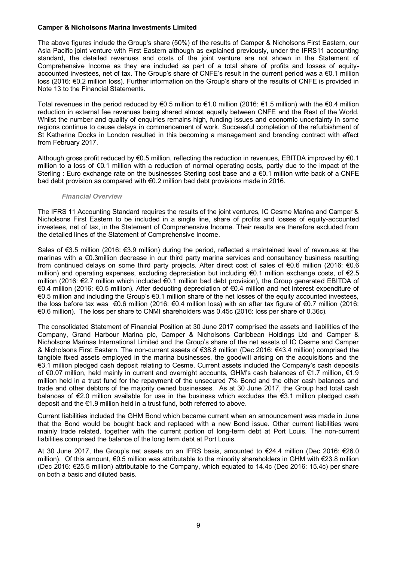The above figures include the Group's share (50%) of the results of Camper & Nicholsons First Eastern, our Asia Pacific joint venture with First Eastern although as explained previously, under the IFRS11 accounting standard, the detailed revenues and costs of the joint venture are not shown in the Statement of Comprehensive Income as they are included as part of a total share of profits and losses of equityaccounted investees, net of tax. The Group's share of CNFE's result in the current period was a  $\epsilon$ 0.1 million loss (2016: €0.2 million loss). Further information on the Group's share of the results of CNFE is provided in Note 13 to the Financial Statements.

Total revenues in the period reduced by €0.5 million to €1.0 million (2016: €1.5 million) with the €0.4 million reduction in external fee revenues being shared almost equally between CNFE and the Rest of the World. Whilst the number and quality of enquiries remains high, funding issues and economic uncertainty in some regions continue to cause delays in commencement of work. Successful completion of the refurbishment of St Katharine Docks in London resulted in this becoming a management and branding contract with effect from February 2017.

Although gross profit reduced by €0.5 million, reflecting the reduction in revenues, EBITDA improved by €0.1 million to a loss of €0.1 million with a reduction of normal operating costs, partly due to the impact of the Sterling : Euro exchange rate on the businesses Sterling cost base and a €0.1 million write back of a CNFE bad debt provision as compared with €0.2 million bad debt provisions made in 2016.

#### Financial Overview

The IFRS 11 Accounting Standard requires the results of the joint ventures, IC Cesme Marina and Camper & Nicholsons First Eastern to be included in a single line, share of profits and losses of equity-accounted investees, net of tax, in the Statement of Comprehensive Income. Their results are therefore excluded from the detailed lines of the Statement of Comprehensive Income.

Sales of €3.5 million (2016: €3.9 million) during the period, reflected a maintained level of revenues at the marinas with a €0.3million decrease in our third party marina services and consultancy business resulting from continued delays on some third party projects. After direct cost of sales of €0.6 million (2016: €0.6 million) and operating expenses, excluding depreciation but including €0.1 million exchange costs, of €2.5 million (2016: €2.7 million which included €0.1 million bad debt provision), the Group generated EBITDA of €0.4 million (2016: €0.5 million). After deducting depreciation of €0.4 million and net interest expenditure of €0.5 million and including the Group's €0.1 million share of the net losses of the equity accounted investees, the loss before tax was €0.6 million (2016: €0.4 million loss) with an after tax figure of €0.7 million (2016: €0.6 million). The loss per share to CNMI shareholders was 0.45c (2016: loss per share of 0.36c).

The consolidated Statement of Financial Position at 30 June 2017 comprised the assets and liabilities of the Company, Grand Harbour Marina plc, Camper & Nicholsons Caribbean Holdings Ltd and Camper & Nicholsons Marinas International Limited and the Group's share of the net assets of IC Cesme and Camper & Nicholsons First Eastern. The non-current assets of €38.8 million (Dec 2016: €43.4 million) comprised the tangible fixed assets employed in the marina businesses, the goodwill arising on the acquisitions and the €3.1 million pledged cash deposit relating to Cesme. Current assets included the Company's cash deposits of €0.07 million, held mainly in current and overnight accounts, GHM's cash balances of €1.7 million, €1.9 million held in a trust fund for the repayment of the unsecured 7% Bond and the other cash balances and trade and other debtors of the majority owned businesses. As at 30 June 2017, the Group had total cash balances of €2.0 million available for use in the business which excludes the €3.1 million pledged cash deposit and the €1.9 million held in a trust fund, both referred to above.

Current liabilities included the GHM Bond which became current when an announcement was made in June that the Bond would be bought back and replaced with a new Bond issue. Other current liabilities were mainly trade related, together with the current portion of long-term debt at Port Louis. The non-current liabilities comprised the balance of the long term debt at Port Louis.

At 30 June 2017, the Group's net assets on an IFRS basis, amounted to €24.4 million (Dec 2016: €26.0 million). Of this amount, €0.5 million was attributable to the minority shareholders in GHM with €23.8 million (Dec 2016: €25.5 million) attributable to the Company, which equated to 14.4c (Dec 2016: 15.4c) per share on both a basic and diluted basis.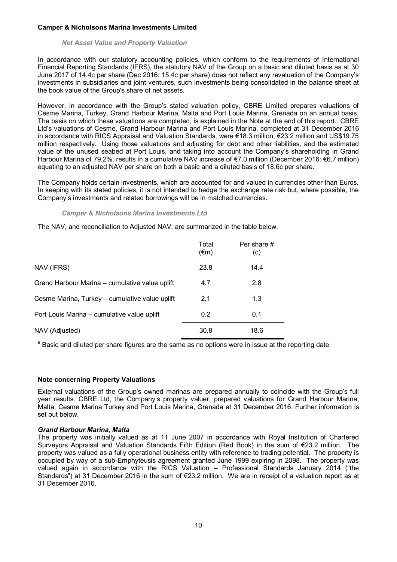#### Net Asset Value and Property Valuation

In accordance with our statutory accounting policies, which conform to the requirements of International Financial Reporting Standards (IFRS), the statutory NAV of the Group on a basic and diluted basis as at 30 June 2017 of 14.4c per share (Dec 2016: 15.4c per share) does not reflect any revaluation of the Company's investments in subsidiaries and joint ventures, such investments being consolidated in the balance sheet at the book value of the Group's share of net assets.

However, in accordance with the Group's stated valuation policy, CBRE Limited prepares valuations of Cesme Marina, Turkey, Grand Harbour Marina, Malta and Port Louis Marina, Grenada on an annual basis. The basis on which these valuations are completed, is explained in the Note at the end of this report. CBRE Ltd's valuations of Cesme, Grand Harbour Marina and Port Louis Marina, completed at 31 December 2016 in accordance with RICS Appraisal and Valuation Standards, were €18.3 million, €23.2 million and US\$19.75 million respectively. Using those valuations and adjusting for debt and other liabilities, and the estimated value of the unused seabed at Port Louis, and taking into account the Company's shareholding in Grand Harbour Marina of 79.2%, results in a cumulative NAV increase of €7.0 million (December 2016: €6.7 million) equating to an adjusted NAV per share on both a basic and a diluted basis of 18.6c per share.

The Company holds certain investments, which are accounted for and valued in currencies other than Euros. In keeping with its stated policies, it is not intended to hedge the exchange rate risk but, where possible, the Company's investments and related borrowings will be in matched currencies.

#### Camper & Nicholsons Marina Investments Ltd

The NAV, and reconciliation to Adjusted NAV, are summarized in the table below.

|                                                | Total<br>$(\epsilon m)$ | Per share #<br>(c) |
|------------------------------------------------|-------------------------|--------------------|
| NAV (IFRS)                                     | 23.8                    | 14.4               |
| Grand Harbour Marina – cumulative value uplift | 4.7                     | 2.8                |
| Cesme Marina, Turkey – cumulative value uplift | 2.1                     | 1.3                |
| Port Louis Marina – cumulative value uplift    | 0.2                     | 0.1                |
| NAV (Adjusted)                                 | 30.8                    | 18.6               |

# Basic and diluted per share figures are the same as no options were in issue at the reporting date

## Note concerning Property Valuations

External valuations of the Group's owned marinas are prepared annually to coincide with the Group's full year results. CBRE Ltd, the Company's property valuer, prepared valuations for Grand Harbour Marina, Malta, Cesme Marina Turkey and Port Louis Marina, Grenada at 31 December 2016. Further information is set out below.

#### Grand Harbour Marina, Malta

The property was initially valued as at 11 June 2007 in accordance with Royal Institution of Chartered Surveyors Appraisal and Valuation Standards Fifth Edition (Red Book) in the sum of €23.2 million. The property was valued as a fully operational business entity with reference to trading potential. The property is occupied by way of a sub-Emphyteusis agreement granted June 1999 expiring in 2098. The property was valued again in accordance with the RICS Valuation – Professional Standards January 2014 ("the Standards") at 31 December 2016 in the sum of €23.2 million. We are in receipt of a valuation report as at 31 December 2016.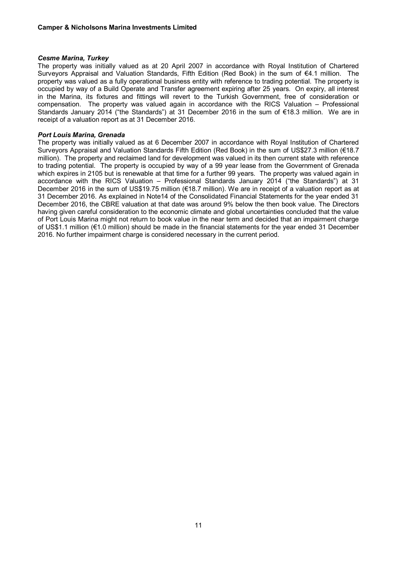## Cesme Marina, Turkey

The property was initially valued as at 20 April 2007 in accordance with Royal Institution of Chartered Surveyors Appraisal and Valuation Standards, Fifth Edition (Red Book) in the sum of €4.1 million. The property was valued as a fully operational business entity with reference to trading potential. The property is occupied by way of a Build Operate and Transfer agreement expiring after 25 years. On expiry, all interest in the Marina, its fixtures and fittings will revert to the Turkish Government, free of consideration or compensation. The property was valued again in accordance with the RICS Valuation – Professional Standards January 2014 ("the Standards") at 31 December 2016 in the sum of €18.3 million. We are in receipt of a valuation report as at 31 December 2016.

## Port Louis Marina, Grenada

The property was initially valued as at 6 December 2007 in accordance with Royal Institution of Chartered Surveyors Appraisal and Valuation Standards Fifth Edition (Red Book) in the sum of US\$27.3 million (€18.7 million). The property and reclaimed land for development was valued in its then current state with reference to trading potential. The property is occupied by way of a 99 year lease from the Government of Grenada which expires in 2105 but is renewable at that time for a further 99 years. The property was valued again in accordance with the RICS Valuation – Professional Standards January 2014 ("the Standards") at 31 December 2016 in the sum of US\$19.75 million (€18.7 million). We are in receipt of a valuation report as at 31 December 2016. As explained in Note14 of the Consolidated Financial Statements for the year ended 31 December 2016, the CBRE valuation at that date was around 9% below the then book value. The Directors having given careful consideration to the economic climate and global uncertainties concluded that the value of Port Louis Marina might not return to book value in the near term and decided that an impairment charge of US\$1.1 million (€1.0 million) should be made in the financial statements for the year ended 31 December 2016. No further impairment charge is considered necessary in the current period.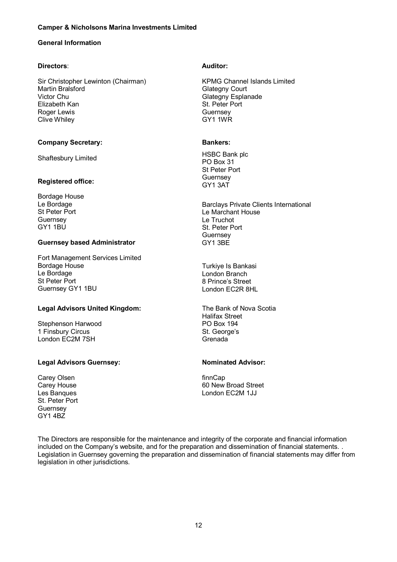## General Information

# Directors:

Sir Christopher Lewinton (Chairman) Martin Bralsford Victor Chu Elizabeth Kan Roger Lewis Clive Whiley

# Company Secretary:

Shaftesbury Limited

# Registered office:

Bordage House Le Bordage St Peter Port Guernsey GY1 1BU

# Guernsey based Administrator

Fort Management Services Limited Bordage House Le Bordage St Peter Port Guernsey GY1 1BU

# Legal Advisors United Kingdom:

Stephenson Harwood 1 Finsbury Circus London EC2M 7SH

## Legal Advisors Guernsey:

Carey Olsen Carey House Les Banques St. Peter Port **Guernsey** GY1 4BZ

# Auditor:

KPMG Channel Islands Limited **Glategny Court** Glategny Esplanade St. Peter Port **Guernsey** GY1 1WR

## Bankers:

HSBC Bank plc PO Box 31 St Peter Port **Guernsey** GY1 3AT

Barclays Private Clients International Le Marchant House Le Truchot St. Peter Port Guernsey GY1 3BE

Turkiye Is Bankasi London Branch 8 Prince's Street London EC2R 8HL

The Bank of Nova Scotia Halifax Street PO Box 194 St. George's Grenada

# Nominated Advisor:

finnCap 60 New Broad Street London EC2M 1JJ

The Directors are responsible for the maintenance and integrity of the corporate and financial information included on the Company's website, and for the preparation and dissemination of financial statements. . Legislation in Guernsey governing the preparation and dissemination of financial statements may differ from legislation in other jurisdictions.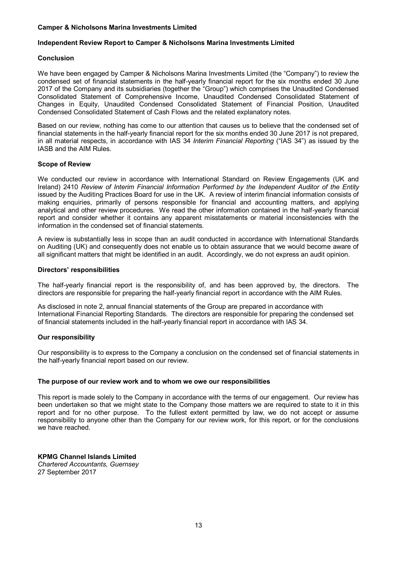## Independent Review Report to Camper & Nicholsons Marina Investments Limited

### Conclusion

We have been engaged by Camper & Nicholsons Marina Investments Limited (the "Company") to review the condensed set of financial statements in the half-yearly financial report for the six months ended 30 June 2017 of the Company and its subsidiaries (together the "Group") which comprises the Unaudited Condensed Consolidated Statement of Comprehensive Income, Unaudited Condensed Consolidated Statement of Changes in Equity, Unaudited Condensed Consolidated Statement of Financial Position, Unaudited Condensed Consolidated Statement of Cash Flows and the related explanatory notes.

Based on our review, nothing has come to our attention that causes us to believe that the condensed set of financial statements in the half-yearly financial report for the six months ended 30 June 2017 is not prepared, in all material respects, in accordance with IAS 34 Interim Financial Reporting ("IAS 34") as issued by the IASB and the AIM Rules.

## Scope of Review

We conducted our review in accordance with International Standard on Review Engagements (UK and Ireland) 2410 Review of Interim Financial Information Performed by the Independent Auditor of the Entity issued by the Auditing Practices Board for use in the UK. A review of interim financial information consists of making enquiries, primarily of persons responsible for financial and accounting matters, and applying analytical and other review procedures. We read the other information contained in the half-yearly financial report and consider whether it contains any apparent misstatements or material inconsistencies with the information in the condensed set of financial statements.

A review is substantially less in scope than an audit conducted in accordance with International Standards on Auditing (UK) and consequently does not enable us to obtain assurance that we would become aware of all significant matters that might be identified in an audit. Accordingly, we do not express an audit opinion.

#### Directors' responsibilities

The half-yearly financial report is the responsibility of, and has been approved by, the directors. The directors are responsible for preparing the half-yearly financial report in accordance with the AIM Rules.

As disclosed in note 2, annual financial statements of the Group are prepared in accordance with International Financial Reporting Standards. The directors are responsible for preparing the condensed set of financial statements included in the half-yearly financial report in accordance with IAS 34.

## Our responsibility

Our responsibility is to express to the Company a conclusion on the condensed set of financial statements in the half-yearly financial report based on our review.

## The purpose of our review work and to whom we owe our responsibilities

This report is made solely to the Company in accordance with the terms of our engagement. Our review has been undertaken so that we might state to the Company those matters we are required to state to it in this report and for no other purpose. To the fullest extent permitted by law, we do not accept or assume responsibility to anyone other than the Company for our review work, for this report, or for the conclusions we have reached.

KPMG Channel Islands Limited Chartered Accountants, Guernsey 27 September 2017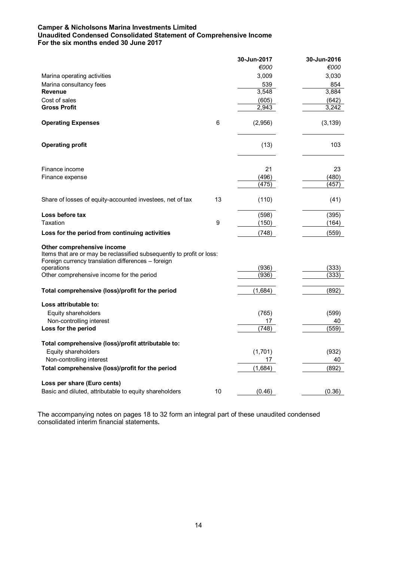### Camper & Nicholsons Marina Investments Limited Unaudited Condensed Consolidated Statement of Comprehensive Income For the six months ended 30 June 2017

|                                                                                                                                                           |    | 30-Jun-2017 | 30-Jun-2016 |
|-----------------------------------------------------------------------------------------------------------------------------------------------------------|----|-------------|-------------|
|                                                                                                                                                           |    | €000        | €000        |
| Marina operating activities                                                                                                                               |    | 3,009       | 3,030       |
| Marina consultancy fees                                                                                                                                   |    | 539         | 854         |
| <b>Revenue</b>                                                                                                                                            |    | 3,548       | 3,884       |
| Cost of sales                                                                                                                                             |    | (605)       | (642)       |
| <b>Gross Profit</b>                                                                                                                                       |    | 2,943       | 3,242       |
| <b>Operating Expenses</b>                                                                                                                                 | 6  | (2,956)     | (3, 139)    |
| <b>Operating profit</b>                                                                                                                                   |    | (13)        | 103         |
| Finance income                                                                                                                                            |    | 21          | 23          |
| Finance expense                                                                                                                                           |    | (496)       | (480)       |
|                                                                                                                                                           |    | (475)       | (457        |
| Share of losses of equity-accounted investees, net of tax                                                                                                 | 13 | (110)       | (41)        |
| Loss before tax                                                                                                                                           |    | (598)       | (395)       |
| Taxation                                                                                                                                                  | 9  | (150)       | (164)       |
| Loss for the period from continuing activities                                                                                                            |    | (748)       | (559)       |
| Other comprehensive income<br>Items that are or may be reclassified subsequently to profit or loss:<br>Foreign currency translation differences - foreign |    |             |             |
| operations                                                                                                                                                |    | (936)       | (333)       |
| Other comprehensive income for the period                                                                                                                 |    | (936)       | (333)       |
| Total comprehensive (loss)/profit for the period                                                                                                          |    | (1,684)     | (892)       |
| Loss attributable to:                                                                                                                                     |    |             |             |
| Equity shareholders                                                                                                                                       |    | (765)       | (599)       |
| Non-controlling interest                                                                                                                                  |    | 17          | 40          |
| Loss for the period                                                                                                                                       |    | (748)       | (559)       |
| Total comprehensive (loss)/profit attributable to:                                                                                                        |    |             |             |
| Equity shareholders                                                                                                                                       |    | (1,701)     | (932)       |
| Non-controlling interest                                                                                                                                  |    | 17          | 40          |
| Total comprehensive (loss)/profit for the period                                                                                                          |    | (1,684)     | (892)       |
| Loss per share (Euro cents)                                                                                                                               |    |             |             |
| Basic and diluted, attributable to equity shareholders                                                                                                    | 10 | (0.46)      | (0.36)      |

The accompanying notes on pages 18 to 32 form an integral part of these unaudited condensed consolidated interim financial statements.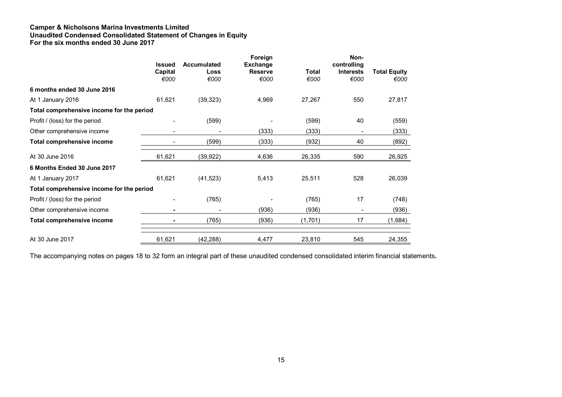#### Camper & Nicholsons Marina Investments Limited Unaudited Condensed Consolidated Statement of Changes in Equity For the six months ended 30 June 2017

|                                           | <b>Issued</b>   | Accumulated  | Foreign<br><b>Exchange</b> |               | Non-<br>controlling      |                             |
|-------------------------------------------|-----------------|--------------|----------------------------|---------------|--------------------------|-----------------------------|
|                                           | Capital<br>€000 | Loss<br>€000 | <b>Reserve</b><br>€000     | Total<br>€000 | <b>Interests</b><br>€000 | <b>Total Equity</b><br>€000 |
| 6 months ended 30 June 2016               |                 |              |                            |               |                          |                             |
| At 1 January 2016                         | 61,621          | (39, 323)    | 4,969                      | 27,267        | 550                      | 27,817                      |
| Total comprehensive income for the period |                 |              |                            |               |                          |                             |
| Profit / (loss) for the period            |                 | (599)        |                            | (599)         | 40                       | (559)                       |
| Other comprehensive income                |                 |              | (333)                      | (333)         |                          | (333)                       |
| Total comprehensive income                |                 | (599)        | (333)                      | (932)         | 40                       | (892)                       |
| At 30 June 2016                           | 61,621          | (39, 922)    | 4,636                      | 26,335        | 590                      | 26,925                      |
| 6 Months Ended 30 June 2017               |                 |              |                            |               |                          |                             |
| At 1 January 2017                         | 61,621          | (41, 523)    | 5,413                      | 25,511        | 528                      | 26,039                      |
| Total comprehensive income for the period |                 |              |                            |               |                          |                             |
| Profit / (loss) for the period            |                 | (765)        |                            | (765)         | 17                       | (748)                       |
| Other comprehensive income                |                 |              | (936)                      | (936)         |                          | (936)                       |
| Total comprehensive income                | ۰               | (765)        | (936)                      | (1,701)       | 17                       | (1,684)                     |
| At 30 June 2017                           | 61,621          | (42, 288)    | 4,477                      | 23,810        | 545                      | 24,355                      |

The accompanying notes on pages 18 to 32 form an integral part of these unaudited condensed consolidated interim financial statements.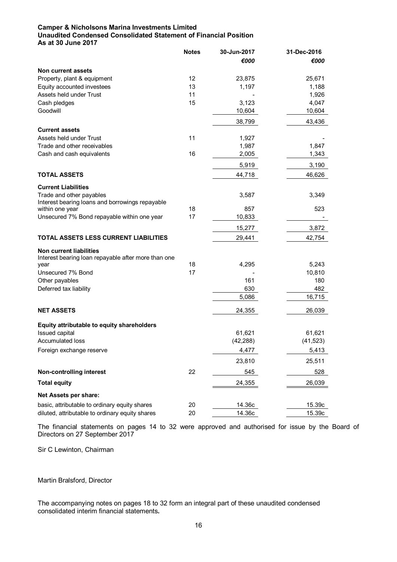### Camper & Nicholsons Marina Investments Limited Unaudited Condensed Consolidated Statement of Financial Position As at 30 June 2017

|                                                     | <b>Notes</b> | 30-Jun-2017 | 31-Dec-2016 |
|-----------------------------------------------------|--------------|-------------|-------------|
|                                                     |              | €000        | €000        |
| Non current assets                                  |              |             |             |
| Property, plant & equipment                         | 12           | 23,875      | 25,671      |
| Equity accounted investees                          | 13           | 1,197       | 1,188       |
| Assets held under Trust                             | 11           |             | 1,926       |
| Cash pledges                                        | 15           | 3,123       | 4,047       |
| Goodwill                                            |              | 10,604      | 10,604      |
|                                                     |              | 38,799      | 43,436      |
| <b>Current assets</b>                               |              |             |             |
| Assets held under Trust                             | 11           | 1,927       |             |
| Trade and other receivables                         |              | 1,987       | 1,847       |
| Cash and cash equivalents                           | 16           | 2,005       | 1,343       |
|                                                     |              | 5,919       | 3,190       |
| <b>TOTAL ASSETS</b>                                 |              | 44,718      | 46,626      |
| <b>Current Liabilities</b>                          |              |             |             |
| Trade and other payables                            |              | 3,587       | 3,349       |
| Interest bearing loans and borrowings repayable     |              |             |             |
| within one year                                     | 18           | 857         | 523         |
| Unsecured 7% Bond repayable within one year         | 17           | 10,833      |             |
|                                                     |              | 15,277      | 3,872       |
| TOTAL ASSETS LESS CURRENT LIABILITIES               |              | 29,441      | 42,754      |
| <b>Non current liabilities</b>                      |              |             |             |
| Interest bearing loan repayable after more than one |              |             |             |
| year                                                | 18           | 4,295       | 5,243       |
| Unsecured 7% Bond                                   | 17           |             | 10,810      |
| Other payables                                      |              | 161         | 180         |
| Deferred tax liability                              |              | 630         | 482         |
|                                                     |              | 5,086       | 16,715      |
| <b>NET ASSETS</b>                                   |              | 24,355      | 26,039      |
|                                                     |              |             |             |
| Equity attributable to equity shareholders          |              |             |             |
| Issued capital                                      |              | 61,621      | 61,621      |
| <b>Accumulated loss</b>                             |              | (42, 288)   | (41, 523)   |
| Foreign exchange reserve                            |              | 4,477       | 5,413       |
|                                                     |              | 23,810      | 25,511      |
| Non-controlling interest                            | 22           | 545         | 528         |
| <b>Total equity</b>                                 |              | 24,355      | 26,039      |
| Net Assets per share:                               |              |             |             |
| basic, attributable to ordinary equity shares       | 20           | 14.36c      | 15.39c      |
| diluted, attributable to ordinary equity shares     | 20           | 14.36c      | 15.39c      |
|                                                     |              |             |             |

The financial statements on pages 14 to 32 were approved and authorised for issue by the Board of Directors on 27 September 2017

Sir C Lewinton, Chairman

Martin Bralsford, Director

The accompanying notes on pages 18 to 32 form an integral part of these unaudited condensed consolidated interim financial statements.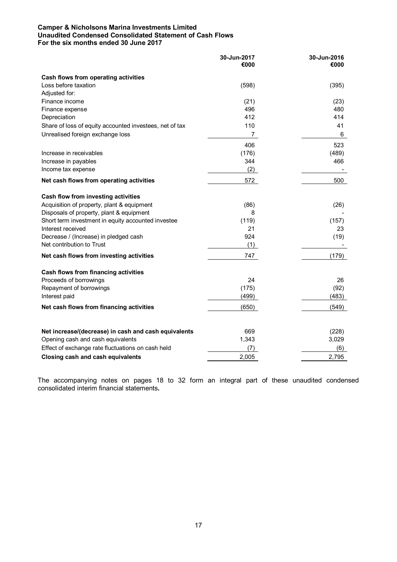### Camper & Nicholsons Marina Investments Limited Unaudited Condensed Consolidated Statement of Cash Flows For the six months ended 30 June 2017

|                                                         | 30-Jun-2017<br>€000 | 30-Jun-2016<br>€000 |
|---------------------------------------------------------|---------------------|---------------------|
| Cash flows from operating activities                    |                     |                     |
| Loss before taxation                                    | (598)               | (395)               |
| Adjusted for:                                           |                     |                     |
| Finance income                                          | (21)                | (23)                |
| Finance expense                                         | 496                 | 480                 |
| Depreciation                                            | 412                 | 414                 |
| Share of loss of equity accounted investees, net of tax | 110                 | 41                  |
| Unrealised foreign exchange loss                        | 7                   | 6                   |
|                                                         | 406                 | 523                 |
| Increase in receivables                                 | (176)               | (489)               |
| Increase in payables                                    | 344                 | 466                 |
| Income tax expense                                      | (2)                 |                     |
| Net cash flows from operating activities                | 572                 | 500                 |
| Cash flow from investing activities                     |                     |                     |
| Acquisition of property, plant & equipment              | (86)                | (26)                |
| Disposals of property, plant & equipment                | 8                   |                     |
| Short term investment in equity accounted investee      | (119)               | (157)               |
| Interest received                                       | 21                  | 23                  |
| Decrease / (Increase) in pledged cash                   | 924                 | (19)                |
| Net contribution to Trust                               | (1)                 |                     |
| Net cash flows from investing activities                | 747                 | (179)               |
| Cash flows from financing activities                    |                     |                     |
| Proceeds of borrowings                                  | 24                  | 26                  |
| Repayment of borrowings                                 | (175)               | (92)                |
| Interest paid                                           | (499)               | (483)               |
| Net cash flows from financing activities                | (650)               | (549)               |
|                                                         |                     |                     |
| Net increase/(decrease) in cash and cash equivalents    | 669                 | (228)               |
| Opening cash and cash equivalents                       | 1,343               | 3,029               |
| Effect of exchange rate fluctuations on cash held       | (7)                 | (6)                 |
| Closing cash and cash equivalents                       | 2,005               | 2,795               |

The accompanying notes on pages 18 to 32 form an integral part of these unaudited condensed consolidated interim financial statements.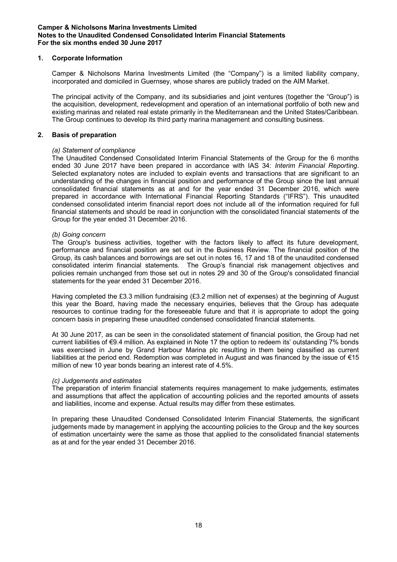## 1. Corporate Information

Camper & Nicholsons Marina Investments Limited (the "Company") is a limited liability company, incorporated and domiciled in Guernsey, whose shares are publicly traded on the AIM Market.

The principal activity of the Company, and its subsidiaries and joint ventures (together the "Group") is the acquisition, development, redevelopment and operation of an international portfolio of both new and existing marinas and related real estate primarily in the Mediterranean and the United States/Caribbean. The Group continues to develop its third party marina management and consulting business.

## 2. Basis of preparation

## (a) Statement of compliance

The Unaudited Condensed Consolidated Interim Financial Statements of the Group for the 6 months ended 30 June 2017 have been prepared in accordance with IAS 34: Interim Financial Reporting. Selected explanatory notes are included to explain events and transactions that are significant to an understanding of the changes in financial position and performance of the Group since the last annual consolidated financial statements as at and for the year ended 31 December 2016, which were prepared in accordance with International Financial Reporting Standards ("IFRS"). This unaudited condensed consolidated interim financial report does not include all of the information required for full financial statements and should be read in conjunction with the consolidated financial statements of the Group for the year ended 31 December 2016.

## (b) Going concern

The Group's business activities, together with the factors likely to affect its future development, performance and financial position are set out in the Business Review. The financial position of the Group, its cash balances and borrowings are set out in notes 16, 17 and 18 of the unaudited condensed consolidated interim financial statements. The Group's financial risk management objectives and policies remain unchanged from those set out in notes 29 and 30 of the Group's consolidated financial statements for the year ended 31 December 2016.

Having completed the £3.3 million fundraising (£3.2 million net of expenses) at the beginning of August this year the Board, having made the necessary enquiries, believes that the Group has adequate resources to continue trading for the foreseeable future and that it is appropriate to adopt the going concern basis in preparing these unaudited condensed consolidated financial statements.

At 30 June 2017, as can be seen in the consolidated statement of financial position, the Group had net current liabilities of €9.4 million. As explained in Note 17 the option to redeem its' outstanding 7% bonds was exercised in June by Grand Harbour Marina plc resulting in them being classified as current liabilities at the period end. Redemption was completed in August and was financed by the issue of €15 million of new 10 year bonds bearing an interest rate of 4.5%.

#### (c) Judgements and estimates

The preparation of interim financial statements requires management to make judgements, estimates and assumptions that affect the application of accounting policies and the reported amounts of assets and liabilities, income and expense. Actual results may differ from these estimates.

In preparing these Unaudited Condensed Consolidated Interim Financial Statements, the significant judgements made by management in applying the accounting policies to the Group and the key sources of estimation uncertainty were the same as those that applied to the consolidated financial statements as at and for the year ended 31 December 2016.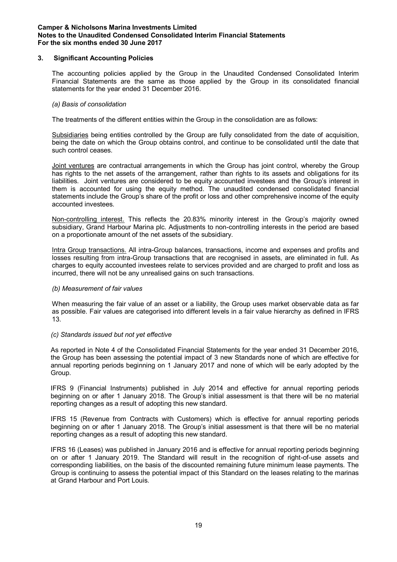### 3. Significant Accounting Policies

The accounting policies applied by the Group in the Unaudited Condensed Consolidated Interim Financial Statements are the same as those applied by the Group in its consolidated financial statements for the year ended 31 December 2016.

#### (a) Basis of consolidation

The treatments of the different entities within the Group in the consolidation are as follows:

Subsidiaries being entities controlled by the Group are fully consolidated from the date of acquisition, being the date on which the Group obtains control, and continue to be consolidated until the date that such control ceases.

Joint ventures are contractual arrangements in which the Group has joint control, whereby the Group has rights to the net assets of the arrangement, rather than rights to its assets and obligations for its liabilities. Joint ventures are considered to be equity accounted investees and the Group's interest in them is accounted for using the equity method. The unaudited condensed consolidated financial statements include the Group's share of the profit or loss and other comprehensive income of the equity accounted investees.

Non-controlling interest. This reflects the 20.83% minority interest in the Group's majority owned subsidiary, Grand Harbour Marina plc. Adjustments to non-controlling interests in the period are based on a proportionate amount of the net assets of the subsidiary.

Intra Group transactions. All intra-Group balances, transactions, income and expenses and profits and losses resulting from intra-Group transactions that are recognised in assets, are eliminated in full. As charges to equity accounted investees relate to services provided and are charged to profit and loss as incurred, there will not be any unrealised gains on such transactions.

#### (b) Measurement of fair values

When measuring the fair value of an asset or a liability, the Group uses market observable data as far as possible. Fair values are categorised into different levels in a fair value hierarchy as defined in IFRS 13.

#### (c) Standards issued but not yet effective

As reported in Note 4 of the Consolidated Financial Statements for the year ended 31 December 2016, the Group has been assessing the potential impact of 3 new Standards none of which are effective for annual reporting periods beginning on 1 January 2017 and none of which will be early adopted by the Group.

IFRS 9 (Financial Instruments) published in July 2014 and effective for annual reporting periods beginning on or after 1 January 2018. The Group's initial assessment is that there will be no material reporting changes as a result of adopting this new standard.

IFRS 15 (Revenue from Contracts with Customers) which is effective for annual reporting periods beginning on or after 1 January 2018. The Group's initial assessment is that there will be no material reporting changes as a result of adopting this new standard.

IFRS 16 (Leases) was published in January 2016 and is effective for annual reporting periods beginning on or after 1 January 2019. The Standard will result in the recognition of right-of-use assets and corresponding liabilities, on the basis of the discounted remaining future minimum lease payments. The Group is continuing to assess the potential impact of this Standard on the leases relating to the marinas at Grand Harbour and Port Louis.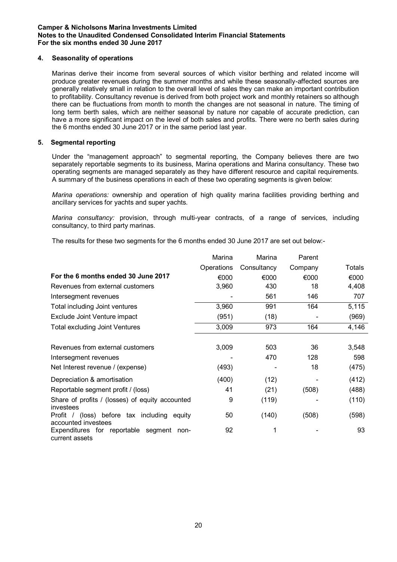## 4. Seasonality of operations

Marinas derive their income from several sources of which visitor berthing and related income will produce greater revenues during the summer months and while these seasonally-affected sources are generally relatively small in relation to the overall level of sales they can make an important contribution to profitability. Consultancy revenue is derived from both project work and monthly retainers so although there can be fluctuations from month to month the changes are not seasonal in nature. The timing of long term berth sales, which are neither seasonal by nature nor capable of accurate prediction, can have a more significant impact on the level of both sales and profits. There were no berth sales during the 6 months ended 30 June 2017 or in the same period last year.

## 5. Segmental reporting

Under the "management approach" to segmental reporting, the Company believes there are two separately reportable segments to its business, Marina operations and Marina consultancy. These two operating segments are managed separately as they have different resource and capital requirements. A summary of the business operations in each of these two operating segments is given below:

Marina operations: ownership and operation of high quality marina facilities providing berthing and ancillary services for yachts and super yachts.

Marina consultancy: provision, through multi-year contracts, of a range of services, including consultancy, to third party marinas.

The results for these two segments for the 6 months ended 30 June 2017 are set out below:-

|                                                                    | Marina     | Marina      | Parent  |        |
|--------------------------------------------------------------------|------------|-------------|---------|--------|
|                                                                    | Operations | Consultancy | Company | Totals |
| For the 6 months ended 30 June 2017                                | €000       | €000        | €000    | €000   |
| Revenues from external customers                                   | 3,960      | 430         | 18      | 4,408  |
| Intersegment revenues                                              |            | 561         | 146     | 707    |
| Total including Joint ventures                                     | 3,960      | 991         | 164     | 5,115  |
| Exclude Joint Venture impact                                       | (951)      | (18)        |         | (969)  |
| <b>Total excluding Joint Ventures</b>                              | 3,009      | 973         | 164     | 4,146  |
| Revenues from external customers                                   | 3,009      | 503         | 36      | 3,548  |
| Intersegment revenues                                              |            | 470         | 128     | 598    |
| Net Interest revenue / (expense)                                   | (493)      |             | 18      | (475)  |
| Depreciation & amortisation                                        | (400)      | (12)        |         | (412)  |
| Reportable segment profit / (loss)                                 | 41         | (21)        | (508)   | (488)  |
| Share of profits / (losses) of equity accounted<br>investees       | 9          | (119)       |         | (110)  |
| Profit / (loss) before tax including equity<br>accounted investees | 50         | (140)       | (508)   | (598)  |
| Expenditures for reportable segment non-<br>current assets         | 92         |             |         | 93     |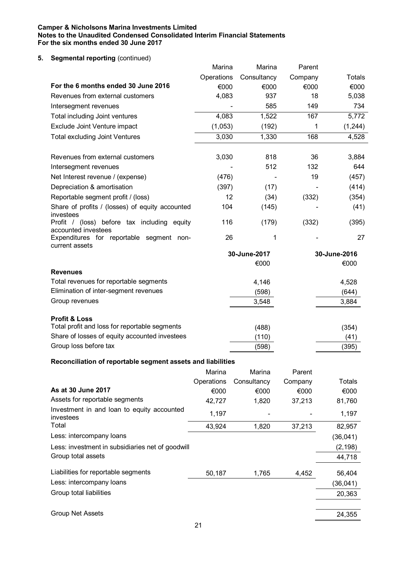# 5. Segmental reporting (continued)

|                                                                                 | Marina     | Marina       | Parent  |               |
|---------------------------------------------------------------------------------|------------|--------------|---------|---------------|
|                                                                                 | Operations | Consultancy  | Company | Totals        |
| For the 6 months ended 30 June 2016                                             | €000       | €000         | €000    | €000          |
| Revenues from external customers                                                | 4,083      | 937          | 18      | 5,038         |
| Intersegment revenues                                                           |            | 585          | 149     | 734           |
| Total including Joint ventures                                                  | 4,083      | 1,522        | 167     | 5,772         |
| Exclude Joint Venture impact                                                    | (1,053)    | (192)        | 1       | (1, 244)      |
| <b>Total excluding Joint Ventures</b>                                           | 3,030      | 1,330        | 168     | 4,528         |
|                                                                                 |            |              |         |               |
| Revenues from external customers                                                | 3,030      | 818          | 36      | 3,884         |
| Intersegment revenues                                                           |            | 512          | 132     | 644           |
| Net Interest revenue / (expense)                                                | (476)      |              | 19      | (457)         |
| Depreciation & amortisation                                                     | (397)      | (17)         |         | (414)         |
| Reportable segment profit / (loss)                                              | 12         | (34)         | (332)   | (354)         |
| Share of profits / (losses) of equity accounted                                 | 104        | (145)        |         | (41)          |
| investees<br>Profit / (loss) before tax including equity<br>accounted investees | 116        | (179)        | (332)   | (395)         |
| Expenditures for reportable segment non-<br>current assets                      | 26         | 1            |         | 27            |
|                                                                                 |            | 30-June-2017 |         | 30-June-2016  |
|                                                                                 |            | €000         |         | €000          |
| <b>Revenues</b>                                                                 |            |              |         |               |
| Total revenues for reportable segments                                          |            | 4,146        |         | 4,528         |
| Elimination of inter-segment revenues                                           |            | (598)        |         | (644)         |
| Group revenues                                                                  |            | 3,548        |         | 3,884         |
| <b>Profit &amp; Loss</b>                                                        |            |              |         |               |
| Total profit and loss for reportable segments                                   |            | (488)        |         | (354)         |
| Share of losses of equity accounted investees                                   |            | (110)        |         | (41)          |
| Group loss before tax                                                           |            | (598)        |         | (395)         |
| Reconciliation of reportable segment assets and liabilities                     |            |              |         |               |
|                                                                                 | Marina     | Marina       | Parent  |               |
|                                                                                 | Operations | Consultancy  | Company | <b>Totals</b> |
| As at 30 June 2017                                                              | €000       | €000         | €000    | €000          |
| Assets for reportable segments                                                  | 42,727     | 1,820        | 37,213  | 81,760        |
| Investment in and loan to equity accounted<br>investees                         | 1,197      |              |         | 1,197         |
| Total                                                                           | 43,924     | 1,820        | 37,213  | 82,957        |
| Less: intercompany loans                                                        |            |              |         | (36, 041)     |
| Less: investment in subsidiaries net of goodwill                                |            |              |         | (2, 198)      |
| Group total assets                                                              |            |              |         | 44,718        |
| Liabilities for reportable segments                                             | 50,187     | 1,765        | 4,452   | 56,404        |
| Less: intercompany loans                                                        |            |              |         | (36, 041)     |
| Group total liabilities                                                         |            |              |         | 20,363        |
| <b>Group Net Assets</b>                                                         |            |              |         | 24,355        |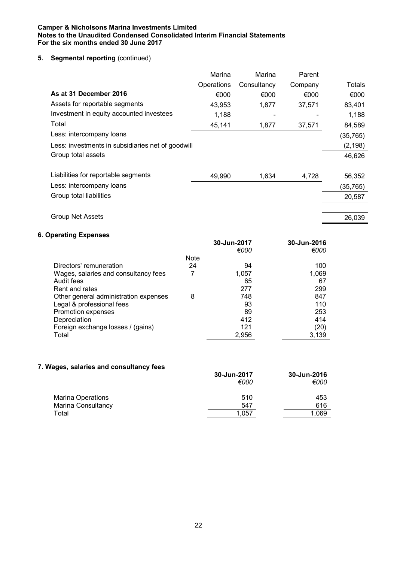## 5. Segmental reporting (continued)

|                                                   | Marina     | Marina      | Parent  |           |
|---------------------------------------------------|------------|-------------|---------|-----------|
|                                                   | Operations | Consultancy | Company | Totals    |
| As at 31 December 2016                            | €000       | €000        | €000    | €000      |
| Assets for reportable segments                    | 43,953     | 1,877       | 37,571  | 83,401    |
| Investment in equity accounted investees          | 1,188      |             |         | 1,188     |
| Total                                             | 45,141     | 1,877       | 37,571  | 84,589    |
| Less: intercompany loans                          |            |             |         | (35, 765) |
| Less: investments in subsidiaries net of goodwill |            |             |         | (2, 198)  |
| Group total assets                                |            |             |         | 46,626    |
|                                                   |            |             |         |           |
| Liabilities for reportable segments               | 49,990     | 1,634       | 4,728   | 56,352    |
| Less: intercompany loans                          |            |             |         | (35, 765) |
| Group total liabilities                           |            |             |         | 20,587    |
|                                                   |            |             |         |           |

Group Net Assets 26,039

## 6. Operating Expenses

| yporathly Exponses                    |      | 30-Jun-2017<br>€000 | 30-Jun-2016<br>€000 |
|---------------------------------------|------|---------------------|---------------------|
|                                       | Note |                     |                     |
| Directors' remuneration               | 24   | 94                  | 100                 |
| Wages, salaries and consultancy fees  |      | 1,057               | 1,069               |
| Audit fees                            |      | 65                  | 67                  |
| Rent and rates                        |      | 277                 | 299                 |
| Other general administration expenses | 8    | 748                 | 847                 |
| Legal & professional fees             |      | 93                  | 110                 |
| Promotion expenses                    |      | 89                  | 253                 |
| Depreciation                          |      | 412                 | 414                 |
| Foreign exchange losses / (gains)     |      | 121                 | (20)                |
| Total                                 |      | 2,956               | 3,139               |

## 7. Wages, salaries and consultancy fees

| rages, salaries and consultancy lees | 30-Jun-2017<br>€000 | 30-Jun-2016<br>€000 |
|--------------------------------------|---------------------|---------------------|
| <b>Marina Operations</b>             | 510                 | 453                 |
| Marina Consultancy                   | 547                 | 616                 |
| Total                                | 1.057               | .069                |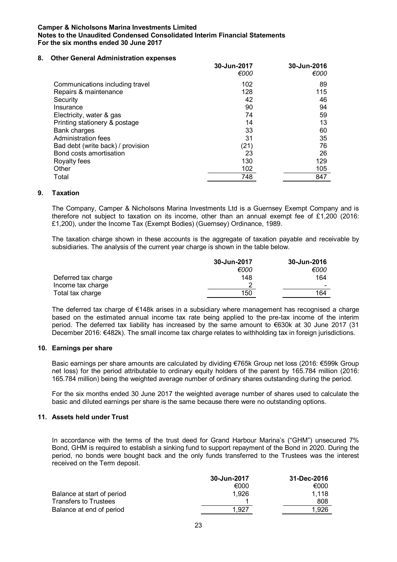## 8. Other General Administration expenses

|                                   | 30-Jun-2017<br>€000 | 30-Jun-2016<br>€000 |
|-----------------------------------|---------------------|---------------------|
| Communications including travel   | 102                 | 89                  |
| Repairs & maintenance             | 128                 | 115                 |
| Security                          | 42                  | 46                  |
| Insurance                         | 90                  | 94                  |
| Electricity, water & gas          | 74                  | 59                  |
| Printing stationery & postage     | 14                  | 13                  |
| <b>Bank charges</b>               | 33                  | 60                  |
| <b>Administration fees</b>        | 31                  | 35                  |
| Bad debt (write back) / provision | (21)                | 76                  |
| Bond costs amortisation           | 23                  | 26                  |
| Royalty fees                      | 130                 | 129                 |
| Other                             | 102                 | 105                 |
| Total                             | 748                 | 847                 |

#### 9. Taxation

The Company, Camper & Nicholsons Marina Investments Ltd is a Guernsey Exempt Company and is therefore not subject to taxation on its income, other than an annual exempt fee of £1,200 (2016: £1,200), under the Income Tax (Exempt Bodies) (Guernsey) Ordinance, 1989.

The taxation charge shown in these accounts is the aggregate of taxation payable and receivable by subsidiaries. The analysis of the current year charge is shown in the table below.

|                     | 30-Jun-2017 | 30-Jun-2016 |
|---------------------|-------------|-------------|
|                     | €000        | €000        |
| Deferred tax charge | 148         | 164         |
| Income tax charge   |             | -           |
| Total tax charge    | 150         | 164         |

The deferred tax charge of €148k arises in a subsidiary where management has recognised a charge based on the estimated annual income tax rate being applied to the pre-tax income of the interim period. The deferred tax liability has increased by the same amount to €630k at 30 June 2017 (31 December 2016: €482k). The small income tax charge relates to withholding tax in foreign jurisdictions.

## 10. Earnings per share

Basic earnings per share amounts are calculated by dividing €765k Group net loss (2016: €599k Group net loss) for the period attributable to ordinary equity holders of the parent by 165.784 million (2016: 165.784 million) being the weighted average number of ordinary shares outstanding during the period.

For the six months ended 30 June 2017 the weighted average number of shares used to calculate the basic and diluted earnings per share is the same because there were no outstanding options.

# 11. Assets held under Trust

In accordance with the terms of the trust deed for Grand Harbour Marina's ("GHM") unsecured 7% Bond, GHM is required to establish a sinking fund to support repayment of the Bond in 2020. During the period, no bonds were bought back and the only funds transferred to the Trustees was the interest received on the Term deposit.

|                            | 30-Jun-2017 | 31-Dec-2016 |
|----------------------------|-------------|-------------|
|                            | €000        | €000        |
| Balance at start of period | 1.926       | 1.118       |
| Transfers to Trustees      |             | 808         |
| Balance at end of period   | 1.927       | 1.926       |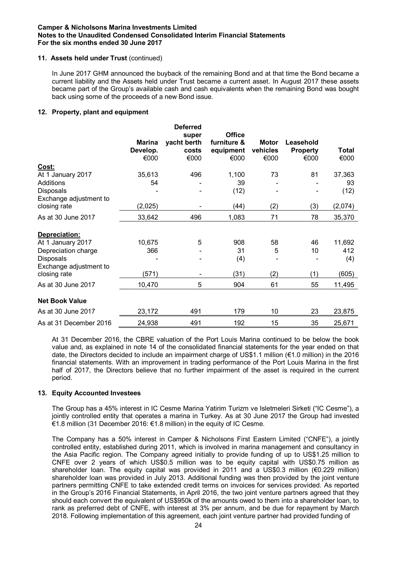## 11. Assets held under Trust (continued)

In June 2017 GHM announced the buyback of the remaining Bond and at that time the Bond became a current liability and the Assets held under Trust became a current asset. In August 2017 these assets became part of the Group's available cash and cash equivalents when the remaining Bond was bought back using some of the proceeds of a new Bond issue.

## 12. Property, plant and equipment

|                                                                                                                  | <b>Marina</b><br>Develop. | <b>Deferred</b><br>super<br>yacht berth<br>costs | <b>Office</b><br>furniture &<br>equipment | <b>Motor</b><br>vehicles | Leasehold<br><b>Property</b> | Total                         |
|------------------------------------------------------------------------------------------------------------------|---------------------------|--------------------------------------------------|-------------------------------------------|--------------------------|------------------------------|-------------------------------|
| Cost:                                                                                                            | €000                      | €000                                             | €000                                      | €000                     | €000                         | €000                          |
| At 1 January 2017<br>Additions<br><b>Disposals</b>                                                               | 35,613<br>54              | 496                                              | 1,100<br>39<br>(12)                       | 73                       | 81                           | 37,363<br>93<br>(12)          |
| Exchange adjustment to<br>closing rate                                                                           | (2,025)                   |                                                  | (44)                                      | (2)                      | (3)                          | (2,074)                       |
| As at 30 June 2017                                                                                               | 33,642                    | 496                                              | 1,083                                     | 71                       | 78                           | 35,370                        |
| Depreciation:<br>At 1 January 2017<br>Depreciation charge<br>Disposals<br>Exchange adjustment to<br>closing rate | 10,675<br>366<br>(571)    | 5                                                | 908<br>31<br>(4)<br>(31)                  | 58<br>5<br>(2)           | 46<br>10<br>(1)              | 11,692<br>412<br>(4)<br>(605) |
| As at 30 June 2017                                                                                               | 10,470                    | 5                                                | 904                                       | 61                       | 55                           | 11,495                        |
| <b>Net Book Value</b><br>As at 30 June 2017                                                                      | 23,172                    | 491                                              | 179                                       | 10                       | 23                           | 23,875                        |
| As at 31 December 2016                                                                                           | 24,938                    | 491                                              | 192                                       | 15                       | 35                           | 25,671                        |

At 31 December 2016, the CBRE valuation of the Port Louis Marina continued to be below the book value and, as explained in note 14 of the consolidated financial statements for the year ended on that date, the Directors decided to include an impairment charge of US\$1.1 million (€1.0 million) in the 2016 financial statements. With an improvement in trading performance of the Port Louis Marina in the first half of 2017, the Directors believe that no further impairment of the asset is required in the current period.

#### 13. Equity Accounted Investees

The Group has a 45% interest in IC Cesme Marina Yatirim Turizm ve Isletmeleri Sirketi ("IC Cesme"), a jointly controlled entity that operates a marina in Turkey. As at 30 June 2017 the Group had invested €1.8 million (31 December 2016: €1.8 million) in the equity of IC Cesme.

The Company has a 50% interest in Camper & Nicholsons First Eastern Limited ("CNFE"), a jointly controlled entity, established during 2011, which is involved in marina management and consultancy in the Asia Pacific region. The Company agreed initially to provide funding of up to US\$1.25 million to CNFE over 2 years of which US\$0.5 million was to be equity capital with US\$0.75 million as shareholder loan. The equity capital was provided in 2011 and a US\$0.3 million (€0.229 million) shareholder loan was provided in July 2013. Additional funding was then provided by the joint venture partners permitting CNFE to take extended credit terms on invoices for services provided. As reported in the Group's 2016 Financial Statements, in April 2016, the two joint venture partners agreed that they should each convert the equivalent of US\$950k of the amounts owed to them into a shareholder loan, to rank as preferred debt of CNFE, with interest at 3% per annum, and be due for repayment by March 2018. Following implementation of this agreement, each joint venture partner had provided funding of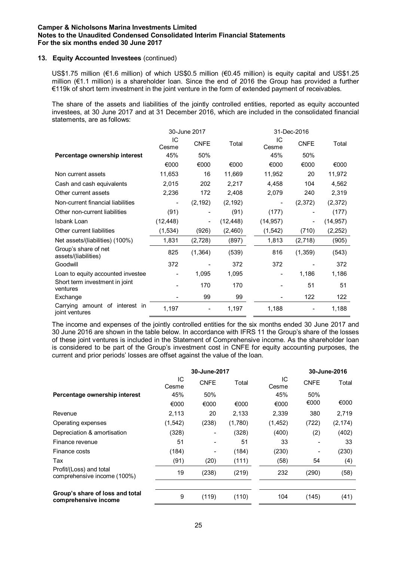### 13. Equity Accounted Investees (continued)

US\$1.75 million (€1.6 million) of which US\$0.5 million (€0.45 million) is equity capital and US\$1.25 million (€1.1 million) is a shareholder loan. Since the end of 2016 the Group has provided a further €119k of short term investment in the joint venture in the form of extended payment of receivables.

The share of the assets and liabilities of the jointly controlled entities, reported as equity accounted investees, at 30 June 2017 and at 31 December 2016, which are included in the consolidated financial statements, are as follows:

|                                                  |             | 30-June 2017   |           |             | 31-Dec-2016              |           |  |  |
|--------------------------------------------------|-------------|----------------|-----------|-------------|--------------------------|-----------|--|--|
|                                                  | IC<br>Cesme | <b>CNFE</b>    | Total     | IC<br>Cesme | <b>CNFE</b>              | Total     |  |  |
| Percentage ownership interest                    | 45%         | 50%            |           | 45%         | 50%                      |           |  |  |
|                                                  | €000        | €000           | €000      | €000        | €000                     | €000      |  |  |
| Non current assets                               | 11,653      | 16             | 11,669    | 11,952      | 20                       | 11,972    |  |  |
| Cash and cash equivalents                        | 2,015       | 202            | 2,217     | 4,458       | 104                      | 4,562     |  |  |
| Other current assets                             | 2,236       | 172            | 2,408     | 2,079       | 240                      | 2,319     |  |  |
| Non-current financial liabilities                |             | (2, 192)       | (2, 192)  |             | (2,372)                  | (2,372)   |  |  |
| Other non-current liabilities                    | (91)        |                | (91)      | (177)       |                          | (177)     |  |  |
| Isbank Loan                                      | (12, 448)   | $\blacksquare$ | (12, 448) | (14, 957)   | $\overline{\phantom{a}}$ | (14, 957) |  |  |
| Other current liabilities                        | (1, 534)    | (926)          | (2,460)   | (1, 542)    | (710)                    | (2, 252)  |  |  |
| Net assets/(liabilities) (100%)                  | 1,831       | (2,728)        | (897)     | 1,813       | (2,718)                  | (905)     |  |  |
| Group's share of net<br>assets/(liabilities)     | 825         | (1, 364)       | (539)     | 816         | (1, 359)                 | (543)     |  |  |
| Goodwill                                         | 372         |                | 372       | 372         |                          | 372       |  |  |
| Loan to equity accounted investee                |             | 1,095          | 1,095     |             | 1,186                    | 1,186     |  |  |
| Short term investment in joint<br>ventures       |             | 170            | 170       |             | 51                       | 51        |  |  |
| Exchange                                         |             | 99             | 99        |             | 122                      | 122       |  |  |
| Carrying amount of interest in<br>joint ventures | 1,197       |                | 1,197     | 1,188       |                          | 1,188     |  |  |

The income and expenses of the jointly controlled entities for the six months ended 30 June 2017 and 30 June 2016 are shown in the table below. In accordance with IFRS 11 the Group's share of the losses of these joint ventures is included in the Statement of Comprehensive income. As the shareholder loan is considered to be part of the Group's investment cost in CNFE for equity accounting purposes, the current and prior periods' losses are offset against the value of the loan.

| 30-June-2017 |             |         |             | 30-June-2016 |          |
|--------------|-------------|---------|-------------|--------------|----------|
| IC<br>Cesme  | <b>CNFE</b> | Total   | IС<br>Cesme | <b>CNFE</b>  | Total    |
| 45%          | 50%         |         | 45%         | 50%          |          |
| €000         | €000        | €000    | €000        | €000         | €000     |
| 2,113        | 20          | 2,133   | 2,339       | 380          | 2,719    |
| (1,542)      | (238)       | (1,780) | (1, 452)    | (722)        | (2, 174) |
| (328)        | -           | (328)   | (400)       | (2)          | (402)    |
| 51           |             | 51      | 33          | -            | 33       |
| (184)        |             | (184)   | (230)       |              | (230)    |
| (91)         | (20)        | (111)   | (58)        | 54           | (4)      |
| 19           | (238)       | (219)   | 232         | (290)        | (58)     |
| 9            | (119)       | (110)   | 104         | (145)        | (41)     |
|              |             |         |             |              |          |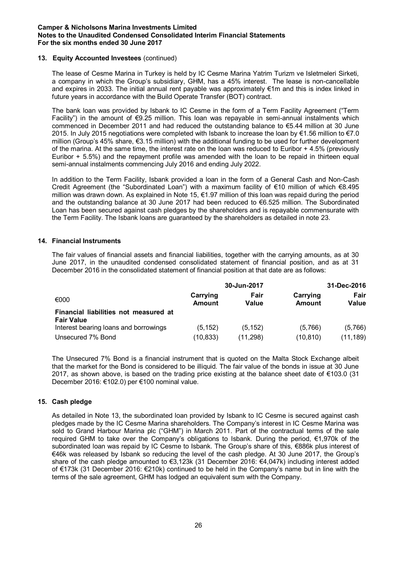## 13. Equity Accounted Investees (continued)

The lease of Cesme Marina in Turkey is held by IC Cesme Marina Yatrim Turizm ve Isletmeleri Sirketi, a company in which the Group's subsidiary, GHM, has a 45% interest. The lease is non-cancellable and expires in 2033. The initial annual rent payable was approximately €1m and this is index linked in future years in accordance with the Build Operate Transfer (BOT) contract.

The bank loan was provided by Isbank to IC Cesme in the form of a Term Facility Agreement ("Term Facility") in the amount of €9.25 million. This loan was repayable in semi-annual instalments which commenced in December 2011 and had reduced the outstanding balance to €5.44 million at 30 June 2015. In July 2015 negotiations were completed with Isbank to increase the loan by €1.56 million to €7.0 million (Group's 45% share, €3.15 million) with the additional funding to be used for further development of the marina. At the same time, the interest rate on the loan was reduced to Euribor + 4.5% (previously Euribor + 5.5%) and the repayment profile was amended with the loan to be repaid in thirteen equal semi-annual instalments commencing July 2016 and ending July 2022.

In addition to the Term Facility, Isbank provided a loan in the form of a General Cash and Non-Cash Credit Agreement (the "Subordinated Loan") with a maximum facility of €10 million of which €8.495 million was drawn down. As explained in Note 15, €1.97 million of this loan was repaid during the period and the outstanding balance at 30 June 2017 had been reduced to €6.525 million. The Subordinated Loan has been secured against cash pledges by the shareholders and is repayable commensurate with the Term Facility. The Isbank loans are guaranteed by the shareholders as detailed in note 23.

## 14. Financial Instruments

The fair values of financial assets and financial liabilities, together with the carrying amounts, as at 30 June 2017, in the unaudited condensed consolidated statement of financial position, and as at 31 December 2016 in the consolidated statement of financial position at that date are as follows:

|                                                            |                           | 30-Jun-2017   |                           | 31-Dec-2016   |  |
|------------------------------------------------------------|---------------------------|---------------|---------------------------|---------------|--|
| €000                                                       | Carrying<br><b>Amount</b> | Fair<br>Value | Carrying<br><b>Amount</b> | Fair<br>Value |  |
| Financial liabilities not measured at<br><b>Fair Value</b> |                           |               |                           |               |  |
| Interest bearing loans and borrowings                      | (5.152)                   | (5, 152)      | (5,766)                   | (5,766)       |  |
| Unsecured 7% Bond                                          | (10, 833)                 | (11, 298)     | (10, 810)                 | (11, 189)     |  |

The Unsecured 7% Bond is a financial instrument that is quoted on the Malta Stock Exchange albeit that the market for the Bond is considered to be illiquid. The fair value of the bonds in issue at 30 June 2017, as shown above, is based on the trading price existing at the balance sheet date of €103.0 (31 December 2016: €102.0) per €100 nominal value.

## 15. Cash pledge

As detailed in Note 13, the subordinated loan provided by Isbank to IC Cesme is secured against cash pledges made by the IC Cesme Marina shareholders. The Company's interest in IC Cesme Marina was sold to Grand Harbour Marina plc ("GHM") in March 2011. Part of the contractual terms of the sale required GHM to take over the Company's obligations to Isbank. During the period, €1,970k of the subordinated loan was repaid by IC Cesme to Isbank. The Group's share of this, €886k plus interest of €46k was released by Isbank so reducing the level of the cash pledge. At 30 June 2017, the Group's share of the cash pledge amounted to €3,123k (31 December 2016: €4,047k) including interest added of €173k (31 December 2016: €210k) continued to be held in the Company's name but in line with the terms of the sale agreement, GHM has lodged an equivalent sum with the Company.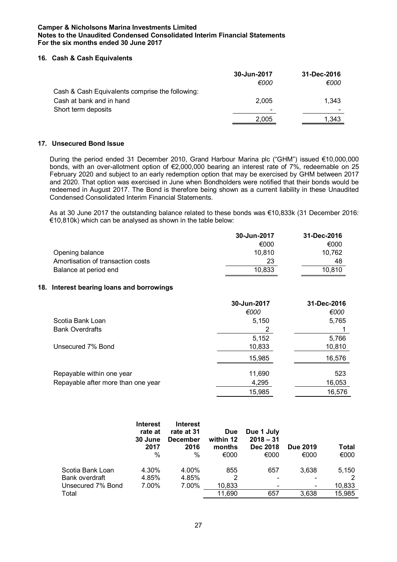### 16. Cash & Cash Equivalents

|                                                 | 30-Jun-2017<br>€000      | 31-Dec-2016<br>€000 |
|-------------------------------------------------|--------------------------|---------------------|
| Cash & Cash Equivalents comprise the following: |                          |                     |
| Cash at bank and in hand                        | 2.005                    | 1.343               |
| Short term deposits                             | $\overline{\phantom{0}}$ |                     |
|                                                 | 2,005                    | 1.343               |

## 17. Unsecured Bond Issue

During the period ended 31 December 2010, Grand Harbour Marina plc ("GHM") issued €10,000,000 bonds, with an over-allotment option of €2,000,000 bearing an interest rate of 7%, redeemable on 25 February 2020 and subject to an early redemption option that may be exercised by GHM between 2017 and 2020. That option was exercised in June when Bondholders were notified that their bonds would be redeemed in August 2017. The Bond is therefore being shown as a current liability in these Unaudited Condensed Consolidated Interim Financial Statements.

As at 30 June 2017 the outstanding balance related to these bonds was €10,833k (31 December 2016: €10,810k) which can be analysed as shown in the table below:

|                                   | 30-Jun-2017 | 31-Dec-2016 |
|-----------------------------------|-------------|-------------|
|                                   | €000        | €000        |
| Opening balance                   | 10.810      | 10.762      |
| Amortisation of transaction costs | 23          | 48          |
| Balance at period end             | 10,833      | 10.810      |

#### 18. Interest bearing loans and borrowings

|                                    | 30-Jun-2017 | 31-Dec-2016 |
|------------------------------------|-------------|-------------|
|                                    | €000        | €000        |
| Scotia Bank Loan                   | 5,150       | 5,765       |
| <b>Bank Overdrafts</b>             | 2           |             |
|                                    | 5,152       | 5,766       |
| Unsecured 7% Bond                  | 10,833      | 10,810      |
|                                    | 15,985      | 16,576      |
| Repayable within one year          | 11,690      | 523         |
| Repayable after more than one year | 4,295       | 16,053      |
|                                    | 15,985      | 16,576      |

|                   | <b>Interest</b><br>rate at<br><b>30 June</b><br>2017<br>% | <b>Interest</b><br>rate at 31<br><b>December</b><br>2016<br>$\%$ | <b>Due</b><br>within 12<br>months<br>€000 | Due 1 July<br>$2018 - 31$<br><b>Dec 2018</b><br>€000 | <b>Due 2019</b><br>€000 | Total<br>€000 |
|-------------------|-----------------------------------------------------------|------------------------------------------------------------------|-------------------------------------------|------------------------------------------------------|-------------------------|---------------|
| Scotia Bank Loan  | 4.30%                                                     | 4.00%                                                            | 855                                       | 657                                                  | 3.638                   | 5,150         |
| Bank overdraft    | 4.85%                                                     | 4.85%                                                            | 2                                         |                                                      |                         | 2             |
| Unsecured 7% Bond | 7.00%                                                     | 7.00%                                                            | 10,833                                    |                                                      | ۰                       | 10,833        |
| Total             |                                                           |                                                                  | 11,690                                    | 657                                                  | 3,638                   | 15,985        |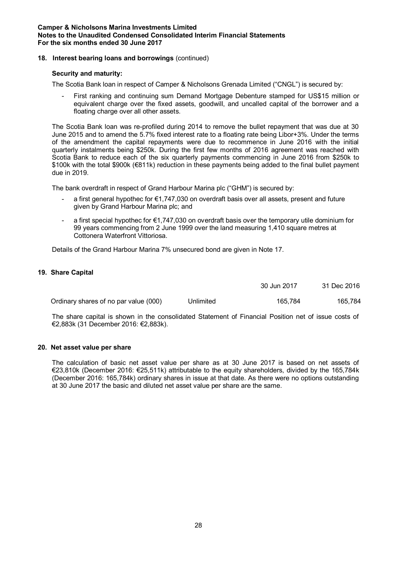## 18. Interest bearing loans and borrowings (continued)

### Security and maturity:

The Scotia Bank loan in respect of Camper & Nicholsons Grenada Limited ("CNGL") is secured by:

First ranking and continuing sum Demand Mortgage Debenture stamped for US\$15 million or equivalent charge over the fixed assets, goodwill, and uncalled capital of the borrower and a floating charge over all other assets.

The Scotia Bank loan was re-profiled during 2014 to remove the bullet repayment that was due at 30 June 2015 and to amend the 5.7% fixed interest rate to a floating rate being Libor+3%. Under the terms of the amendment the capital repayments were due to recommence in June 2016 with the initial quarterly instalments being \$250k. During the first few months of 2016 agreement was reached with Scotia Bank to reduce each of the six quarterly payments commencing in June 2016 from \$250k to \$100k with the total \$900k (€811k) reduction in these payments being added to the final bullet payment due in 2019.

The bank overdraft in respect of Grand Harbour Marina plc ("GHM") is secured by:

- a first general hypothec for €1,747,030 on overdraft basis over all assets, present and future given by Grand Harbour Marina plc; and
- a first special hypothec for €1,747,030 on overdraft basis over the temporary utile dominium for 99 years commencing from 2 June 1999 over the land measuring 1,410 square metres at Cottonera Waterfront Vittoriosa.

Details of the Grand Harbour Marina 7% unsecured bond are given in Note 17.

## 19. Share Capital

|                                       |           | 30 Jun 2017 | 31 Dec 2016 |
|---------------------------------------|-----------|-------------|-------------|
| Ordinary shares of no par value (000) | Unlimited | 165.784     | 165,784     |

The share capital is shown in the consolidated Statement of Financial Position net of issue costs of €2,883k (31 December 2016: €2,883k).

#### 20. Net asset value per share

The calculation of basic net asset value per share as at 30 June 2017 is based on net assets of €23,810k (December 2016: €25,511k) attributable to the equity shareholders, divided by the 165,784k (December 2016: 165,784k) ordinary shares in issue at that date. As there were no options outstanding at 30 June 2017 the basic and diluted net asset value per share are the same.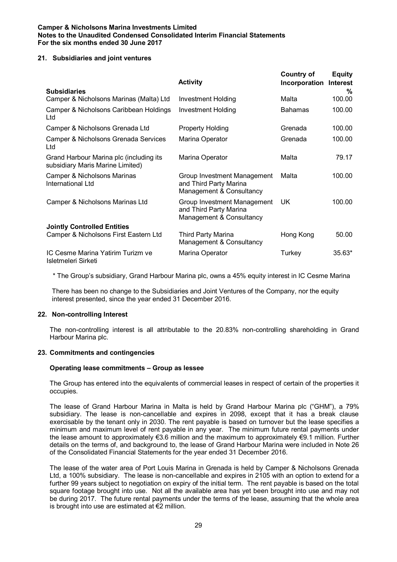## 21. Subsidiaries and joint ventures

|                                                                             | <b>Activity</b>                                                                   | <b>Country of</b><br>Incorporation | <b>Equity</b><br><b>Interest</b> |
|-----------------------------------------------------------------------------|-----------------------------------------------------------------------------------|------------------------------------|----------------------------------|
| <b>Subsidiaries</b>                                                         |                                                                                   |                                    | %                                |
| Camper & Nicholsons Marinas (Malta) Ltd                                     | <b>Investment Holding</b>                                                         | Malta                              | 100.00                           |
| Camper & Nicholsons Caribbean Holdings<br>Ltd                               | <b>Investment Holding</b>                                                         | <b>Bahamas</b>                     | 100.00                           |
| Camper & Nicholsons Grenada Ltd                                             | <b>Property Holding</b>                                                           | Grenada                            | 100.00                           |
| Camper & Nicholsons Grenada Services<br>Ltd                                 | Marina Operator                                                                   | Grenada                            | 100.00                           |
| Grand Harbour Marina plc (including its<br>subsidiary Maris Marine Limited) | Marina Operator                                                                   | Malta                              | 79.17                            |
| Camper & Nicholsons Marinas<br>International Ltd                            | Group Investment Management<br>and Third Party Marina<br>Management & Consultancy | Malta                              | 100.00                           |
| Camper & Nicholsons Marinas Ltd                                             | Group Investment Management<br>and Third Party Marina<br>Management & Consultancy | UK.                                | 100.00                           |
| <b>Jointly Controlled Entities</b>                                          |                                                                                   |                                    |                                  |
| Camper & Nicholsons First Eastern Ltd                                       | <b>Third Party Marina</b><br>Management & Consultancy                             | Hong Kong                          | 50.00                            |
| IC Cesme Marina Yatirim Turizm ve<br>Isletmeleri Sirketi                    | Marina Operator                                                                   | Turkey                             | 35.63*                           |

\* The Group's subsidiary, Grand Harbour Marina plc, owns a 45% equity interest in IC Cesme Marina

There has been no change to the Subsidiaries and Joint Ventures of the Company, nor the equity interest presented, since the year ended 31 December 2016.

#### 22. Non-controlling Interest

The non-controlling interest is all attributable to the 20.83% non-controlling shareholding in Grand Harbour Marina plc.

#### 23. Commitments and contingencies

#### Operating lease commitments – Group as lessee

The Group has entered into the equivalents of commercial leases in respect of certain of the properties it occupies.

The lease of Grand Harbour Marina in Malta is held by Grand Harbour Marina plc ("GHM"), a 79% subsidiary. The lease is non-cancellable and expires in 2098, except that it has a break clause exercisable by the tenant only in 2030. The rent payable is based on turnover but the lease specifies a minimum and maximum level of rent payable in any year. The minimum future rental payments under the lease amount to approximately €3.6 million and the maximum to approximately €9.1 million. Further details on the terms of, and background to, the lease of Grand Harbour Marina were included in Note 26 of the Consolidated Financial Statements for the year ended 31 December 2016.

The lease of the water area of Port Louis Marina in Grenada is held by Camper & Nicholsons Grenada Ltd, a 100% subsidiary. The lease is non-cancellable and expires in 2105 with an option to extend for a further 99 years subject to negotiation on expiry of the initial term. The rent payable is based on the total square footage brought into use. Not all the available area has yet been brought into use and may not be during 2017. The future rental payments under the terms of the lease, assuming that the whole area is brought into use are estimated at €2 million.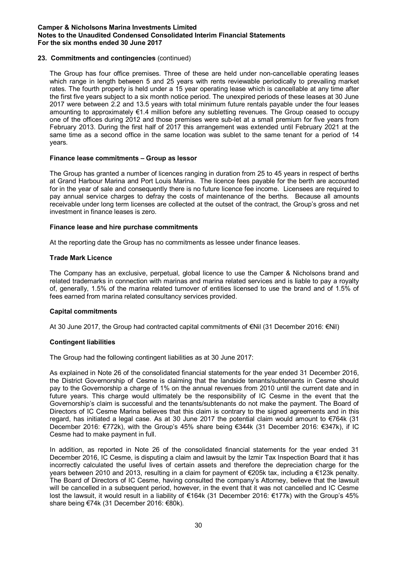## 23. Commitments and contingencies (continued)

The Group has four office premises. Three of these are held under non-cancellable operating leases which range in length between 5 and 25 years with rents reviewable periodically to prevailing market rates. The fourth property is held under a 15 year operating lease which is cancellable at any time after the first five years subject to a six month notice period. The unexpired periods of these leases at 30 June 2017 were between 2.2 and 13.5 years with total minimum future rentals payable under the four leases amounting to approximately €1.4 million before any subletting revenues. The Group ceased to occupy one of the offices during 2012 and those premises were sub-let at a small premium for five years from February 2013. During the first half of 2017 this arrangement was extended until February 2021 at the same time as a second office in the same location was sublet to the same tenant for a period of 14 years.

## Finance lease commitments – Group as lessor

The Group has granted a number of licences ranging in duration from 25 to 45 years in respect of berths at Grand Harbour Marina and Port Louis Marina. The licence fees payable for the berth are accounted for in the year of sale and consequently there is no future licence fee income. Licensees are required to pay annual service charges to defray the costs of maintenance of the berths. Because all amounts receivable under long term licenses are collected at the outset of the contract, the Group's gross and net investment in finance leases is zero.

## Finance lease and hire purchase commitments

At the reporting date the Group has no commitments as lessee under finance leases.

## Trade Mark Licence

The Company has an exclusive, perpetual, global licence to use the Camper & Nicholsons brand and related trademarks in connection with marinas and marina related services and is liable to pay a royalty of, generally, 1.5% of the marina related turnover of entities licensed to use the brand and of 1.5% of fees earned from marina related consultancy services provided.

## Capital commitments

At 30 June 2017, the Group had contracted capital commitments of €Nil (31 December 2016: €Nil)

#### Contingent liabilities

The Group had the following contingent liabilities as at 30 June 2017:

As explained in Note 26 of the consolidated financial statements for the year ended 31 December 2016, the District Governorship of Cesme is claiming that the landside tenants/subtenants in Cesme should pay to the Governorship a charge of 1% on the annual revenues from 2010 until the current date and in future years. This charge would ultimately be the responsibility of IC Cesme in the event that the Governorship's claim is successful and the tenants/subtenants do not make the payment. The Board of Directors of IC Cesme Marina believes that this claim is contrary to the signed agreements and in this regard, has initiated a legal case. As at 30 June 2017 the potential claim would amount to €764k (31 December 2016: €772k), with the Group's 45% share being €344k (31 December 2016: €347k), if IC Cesme had to make payment in full.

In addition, as reported in Note 26 of the consolidated financial statements for the year ended 31 December 2016, IC Cesme, is disputing a claim and lawsuit by the Izmir Tax Inspection Board that it has incorrectly calculated the useful lives of certain assets and therefore the depreciation charge for the years between 2010 and 2013, resulting in a claim for payment of €205k tax, including a €123k penalty. The Board of Directors of IC Cesme, having consulted the company's Attorney, believe that the lawsuit will be cancelled in a subsequent period, however, in the event that it was not cancelled and IC Cesme lost the lawsuit, it would result in a liability of €164k (31 December 2016: €177k) with the Group's 45% share being €74k (31 December 2016: €80k).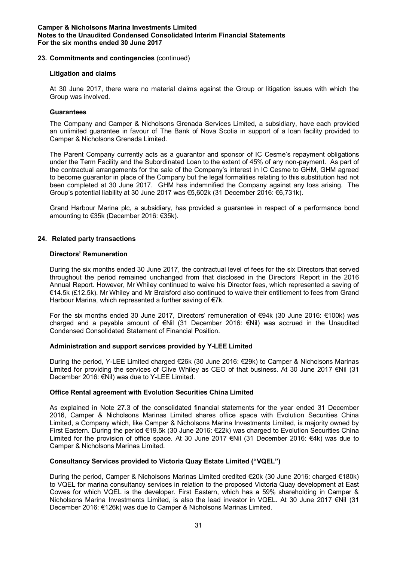## 23. Commitments and contingencies (continued)

## Litigation and claims

At 30 June 2017, there were no material claims against the Group or litigation issues with which the Group was involved.

## **Guarantees**

The Company and Camper & Nicholsons Grenada Services Limited, a subsidiary, have each provided an unlimited guarantee in favour of The Bank of Nova Scotia in support of a loan facility provided to Camper & Nicholsons Grenada Limited.

The Parent Company currently acts as a guarantor and sponsor of IC Cesme's repayment obligations under the Term Facility and the Subordinated Loan to the extent of 45% of any non-payment. As part of the contractual arrangements for the sale of the Company's interest in IC Cesme to GHM, GHM agreed to become guarantor in place of the Company but the legal formalities relating to this substitution had not been completed at 30 June 2017. GHM has indemnified the Company against any loss arising. The Group's potential liability at 30 June 2017 was €5,602k (31 December 2016: €6,731k).

Grand Harbour Marina plc, a subsidiary, has provided a guarantee in respect of a performance bond amounting to €35k (December 2016: €35k).

## 24. Related party transactions

#### Directors' Remuneration

During the six months ended 30 June 2017, the contractual level of fees for the six Directors that served throughout the period remained unchanged from that disclosed in the Directors' Report in the 2016 Annual Report. However, Mr Whiley continued to waive his Director fees, which represented a saving of €14.5k (£12.5k). Mr Whiley and Mr Bralsford also continued to waive their entitlement to fees from Grand Harbour Marina, which represented a further saving of €7k.

For the six months ended 30 June 2017, Directors' remuneration of €94k (30 June 2016: €100k) was charged and a payable amount of €Nil (31 December 2016: €Nil) was accrued in the Unaudited Condensed Consolidated Statement of Financial Position.

## Administration and support services provided by Y-LEE Limited

During the period, Y-LEE Limited charged €26k (30 June 2016: €29k) to Camper & Nicholsons Marinas Limited for providing the services of Clive Whiley as CEO of that business. At 30 June 2017 €Nil (31 December 2016: €Nil) was due to Y-LEE Limited.

## Office Rental agreement with Evolution Securities China Limited

As explained in Note 27.3 of the consolidated financial statements for the year ended 31 December 2016, Camper & Nicholsons Marinas Limited shares office space with Evolution Securities China Limited, a Company which, like Camper & Nicholsons Marina Investments Limited, is majority owned by First Eastern. During the period €19.5k (30 June 2016: €22k) was charged to Evolution Securities China Limited for the provision of office space. At 30 June 2017 €Nil (31 December 2016: €4k) was due to Camper & Nicholsons Marinas Limited.

## Consultancy Services provided to Victoria Quay Estate Limited ("VQEL")

During the period, Camper & Nicholsons Marinas Limited credited €20k (30 June 2016: charged €180k) to VQEL for marina consultancy services in relation to the proposed Victoria Quay development at East Cowes for which VQEL is the developer. First Eastern, which has a 59% shareholding in Camper & Nicholsons Marina Investments Limited, is also the lead investor in VQEL. At 30 June 2017 €Nil (31 December 2016: €126k) was due to Camper & Nicholsons Marinas Limited.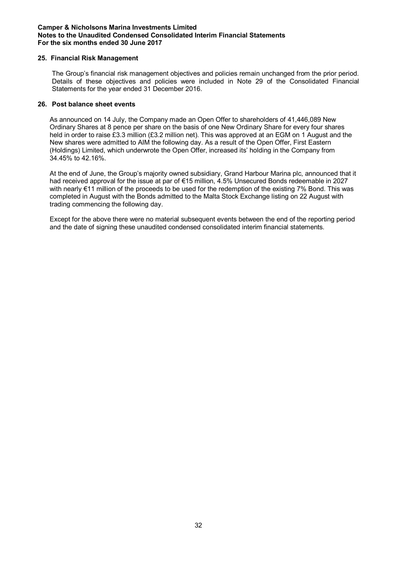## 25. Financial Risk Management

The Group's financial risk management objectives and policies remain unchanged from the prior period. Details of these objectives and policies were included in Note 29 of the Consolidated Financial Statements for the year ended 31 December 2016.

## 26. Post balance sheet events

As announced on 14 July, the Company made an Open Offer to shareholders of 41,446,089 New Ordinary Shares at 8 pence per share on the basis of one New Ordinary Share for every four shares held in order to raise £3.3 million (£3.2 million net). This was approved at an EGM on 1 August and the New shares were admitted to AIM the following day. As a result of the Open Offer, First Eastern (Holdings) Limited, which underwrote the Open Offer, increased its' holding in the Company from 34.45% to 42.16%.

At the end of June, the Group's majority owned subsidiary, Grand Harbour Marina plc, announced that it had received approval for the issue at par of €15 million, 4.5% Unsecured Bonds redeemable in 2027 with nearly €11 million of the proceeds to be used for the redemption of the existing 7% Bond. This was completed in August with the Bonds admitted to the Malta Stock Exchange listing on 22 August with trading commencing the following day.

Except for the above there were no material subsequent events between the end of the reporting period and the date of signing these unaudited condensed consolidated interim financial statements.